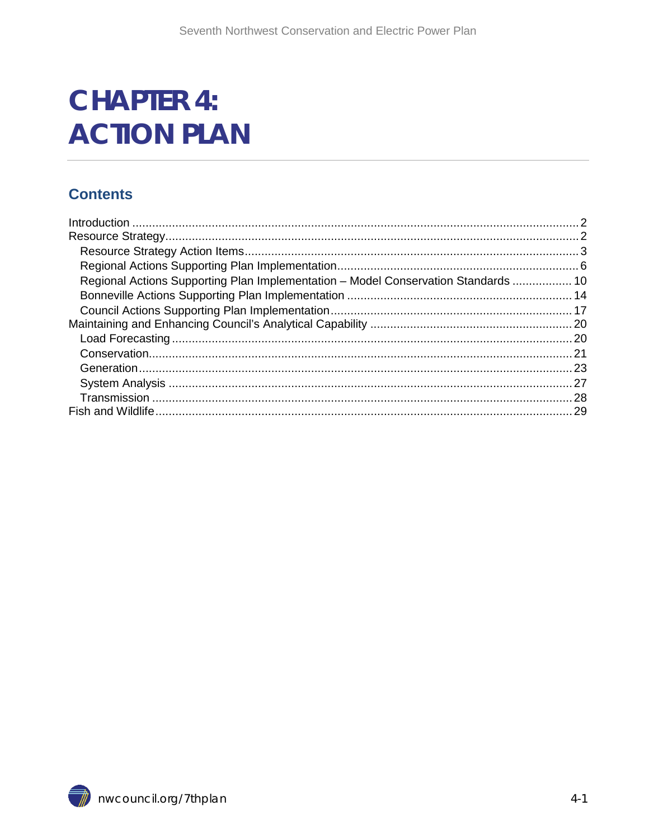# **CHAPTER 4: ACTION PLAN**

#### **Contents**

| Regional Actions Supporting Plan Implementation - Model Conservation Standards  10 |  |
|------------------------------------------------------------------------------------|--|
|                                                                                    |  |
|                                                                                    |  |
|                                                                                    |  |
|                                                                                    |  |
|                                                                                    |  |
|                                                                                    |  |
|                                                                                    |  |
|                                                                                    |  |
|                                                                                    |  |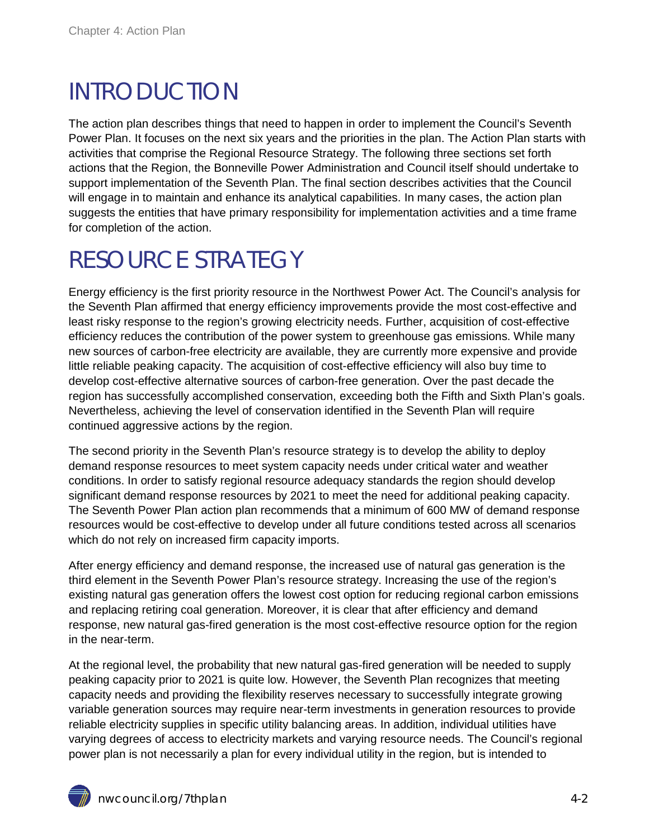### <span id="page-1-0"></span>INTRODUCTION

The action plan describes things that need to happen in order to implement the Council's Seventh Power Plan. It focuses on the next six years and the priorities in the plan. The Action Plan starts with activities that comprise the Regional Resource Strategy. The following three sections set forth actions that the Region, the Bonneville Power Administration and Council itself should undertake to support implementation of the Seventh Plan. The final section describes activities that the Council will engage in to maintain and enhance its analytical capabilities. In many cases, the action plan suggests the entities that have primary responsibility for implementation activities and a time frame for completion of the action.

## <span id="page-1-1"></span>RESOURCE STRATEGY

Energy efficiency is the first priority resource in the Northwest Power Act. The Council's analysis for the Seventh Plan affirmed that energy efficiency improvements provide the most cost-effective and least risky response to the region's growing electricity needs. Further, acquisition of cost-effective efficiency reduces the contribution of the power system to greenhouse gas emissions. While many new sources of carbon-free electricity are available, they are currently more expensive and provide little reliable peaking capacity. The acquisition of cost-effective efficiency will also buy time to develop cost-effective alternative sources of carbon-free generation. Over the past decade the region has successfully accomplished conservation, exceeding both the Fifth and Sixth Plan's goals. Nevertheless, achieving the level of conservation identified in the Seventh Plan will require continued aggressive actions by the region.

The second priority in the Seventh Plan's resource strategy is to develop the ability to deploy demand response resources to meet system capacity needs under critical water and weather conditions. In order to satisfy regional resource adequacy standards the region should develop significant demand response resources by 2021 to meet the need for additional peaking capacity. The Seventh Power Plan action plan recommends that a minimum of 600 MW of demand response resources would be cost-effective to develop under all future conditions tested across all scenarios which do not rely on increased firm capacity imports.

After energy efficiency and demand response, the increased use of natural gas generation is the third element in the Seventh Power Plan's resource strategy. Increasing the use of the region's existing natural gas generation offers the lowest cost option for reducing regional carbon emissions and replacing retiring coal generation. Moreover, it is clear that after efficiency and demand response, new natural gas-fired generation is the most cost-effective resource option for the region in the near-term.

At the regional level, the probability that new natural gas-fired generation will be needed to supply peaking capacity prior to 2021 is quite low. However, the Seventh Plan recognizes that meeting capacity needs and providing the flexibility reserves necessary to successfully integrate growing variable generation sources may require near-term investments in generation resources to provide reliable electricity supplies in specific utility balancing areas. In addition, individual utilities have varying degrees of access to electricity markets and varying resource needs. The Council's regional power plan is not necessarily a plan for every individual utility in the region, but is intended to

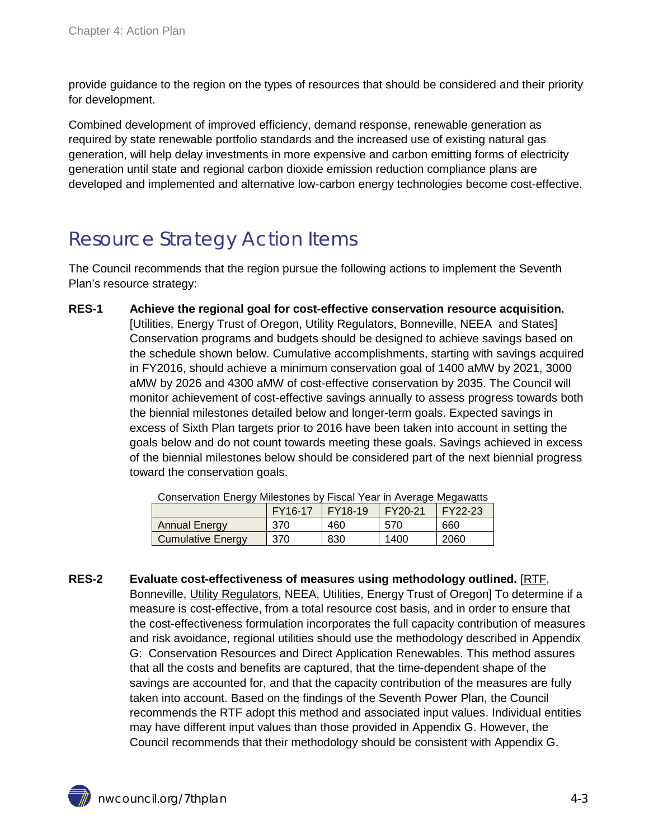provide guidance to the region on the types of resources that should be considered and their priority for development.

Combined development of improved efficiency, demand response, renewable generation as required by state renewable portfolio standards and the increased use of existing natural gas generation, will help delay investments in more expensive and carbon emitting forms of electricity generation until state and regional carbon dioxide emission reduction compliance plans are developed and implemented and alternative low-carbon energy technologies become cost-effective.

### <span id="page-2-0"></span>Resource Strategy Action Items

The Council recommends that the region pursue the following actions to implement the Seventh Plan's resource strategy:

**RES-1 Achieve the regional goal for cost-effective conservation resource acquisition.** [Utilities, Energy Trust of Oregon, Utility Regulators, Bonneville, NEEA and States] Conservation programs and budgets should be designed to achieve savings based on the schedule shown below. Cumulative accomplishments, starting with savings acquired in FY2016, should achieve a minimum conservation goal of 1400 aMW by 2021, 3000 aMW by 2026 and 4300 aMW of cost-effective conservation by 2035. The Council will monitor achievement of cost-effective savings annually to assess progress towards both the biennial milestones detailed below and longer-term goals. Expected savings in excess of Sixth Plan targets prior to 2016 have been taken into account in setting the goals below and do not count towards meeting these goals. Savings achieved in excess of the biennial milestones below should be considered part of the next biennial progress toward the conservation goals.

| <b>OUTIOU VANOIT ETIOLY TYMICOLOHOO DY L'IGOAL TOAL INTERVOLUGO IVIOYAWALIO</b> |         |                        |         |                        |  |
|---------------------------------------------------------------------------------|---------|------------------------|---------|------------------------|--|
|                                                                                 | FY16-17 | $\overline{+}$ FY18-19 | FY20-21 | $\overline{+}$ FY22-23 |  |
| <b>Annual Energy</b>                                                            | 370     | 460                    | 570     | 660                    |  |
| <b>Cumulative Energy</b>                                                        | 370     | 830                    | 1400    | 2060                   |  |

Conservation Energy Milestones by Fiscal Year in Average Megawatts

**RES-2 Evaluate cost-effectiveness of measures using methodology outlined.** [RTF, Bonneville, Utility Regulators, NEEA, Utilities, Energy Trust of Oregon] To determine if a measure is cost-effective, from a total resource cost basis, and in order to ensure that the cost-effectiveness formulation incorporates the full capacity contribution of measures and risk avoidance, regional utilities should use the methodology described in Appendix G: Conservation Resources and Direct Application Renewables. This method assures that all the costs and benefits are captured, that the time-dependent shape of the savings are accounted for, and that the capacity contribution of the measures are fully taken into account. Based on the findings of the Seventh Power Plan, the Council recommends the RTF adopt this method and associated input values. Individual entities may have different input values than those provided in Appendix G. However, the Council recommends that their methodology should be consistent with Appendix G.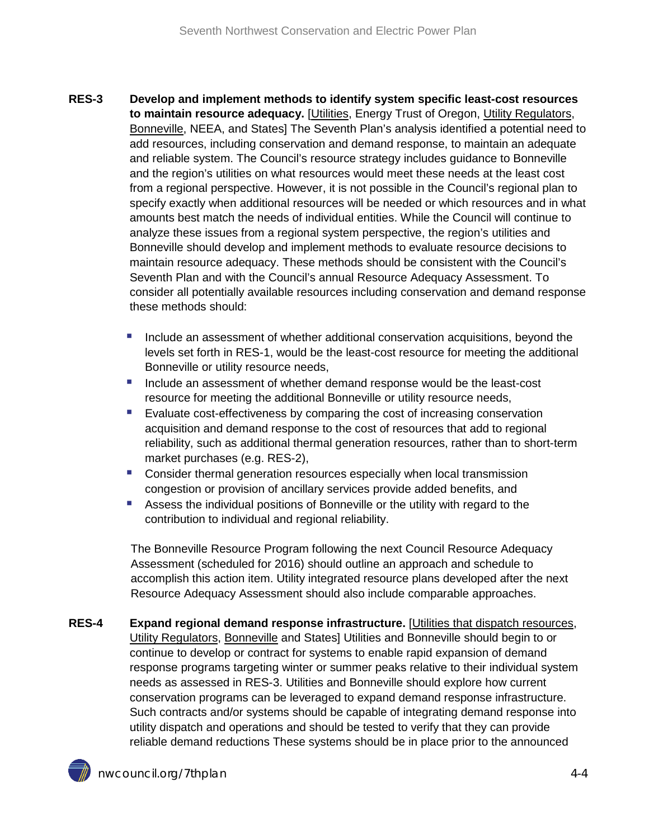- **RES-3 Develop and implement methods to identify system specific least-cost resources to maintain resource adequacy.** [Utilities, Energy Trust of Oregon, Utility Regulators, Bonneville, NEEA, and States] The Seventh Plan's analysis identified a potential need to add resources, including conservation and demand response, to maintain an adequate and reliable system. The Council's resource strategy includes guidance to Bonneville and the region's utilities on what resources would meet these needs at the least cost from a regional perspective. However, it is not possible in the Council's regional plan to specify exactly when additional resources will be needed or which resources and in what amounts best match the needs of individual entities. While the Council will continue to analyze these issues from a regional system perspective, the region's utilities and Bonneville should develop and implement methods to evaluate resource decisions to maintain resource adequacy. These methods should be consistent with the Council's Seventh Plan and with the Council's annual Resource Adequacy Assessment. To consider all potentially available resources including conservation and demand response these methods should:
	- Include an assessment of whether additional conservation acquisitions, beyond the levels set forth in RES-1, would be the least-cost resource for meeting the additional Bonneville or utility resource needs,
	- Include an assessment of whether demand response would be the least-cost resource for meeting the additional Bonneville or utility resource needs,
	- Evaluate cost-effectiveness by comparing the cost of increasing conservation acquisition and demand response to the cost of resources that add to regional reliability, such as additional thermal generation resources, rather than to short-term market purchases (e.g. RES-2),
	- **Consider thermal generation resources especially when local transmission** congestion or provision of ancillary services provide added benefits, and
	- Assess the individual positions of Bonneville or the utility with regard to the contribution to individual and regional reliability.

The Bonneville Resource Program following the next Council Resource Adequacy Assessment (scheduled for 2016) should outline an approach and schedule to accomplish this action item. Utility integrated resource plans developed after the next Resource Adequacy Assessment should also include comparable approaches.

**RES-4 Expand regional demand response infrastructure.** [Utilities that dispatch resources, Utility Regulators, Bonneville and States] Utilities and Bonneville should begin to or continue to develop or contract for systems to enable rapid expansion of demand response programs targeting winter or summer peaks relative to their individual system needs as assessed in RES-3. Utilities and Bonneville should explore how current conservation programs can be leveraged to expand demand response infrastructure. Such contracts and/or systems should be capable of integrating demand response into utility dispatch and operations and should be tested to verify that they can provide reliable demand reductions These systems should be in place prior to the announced

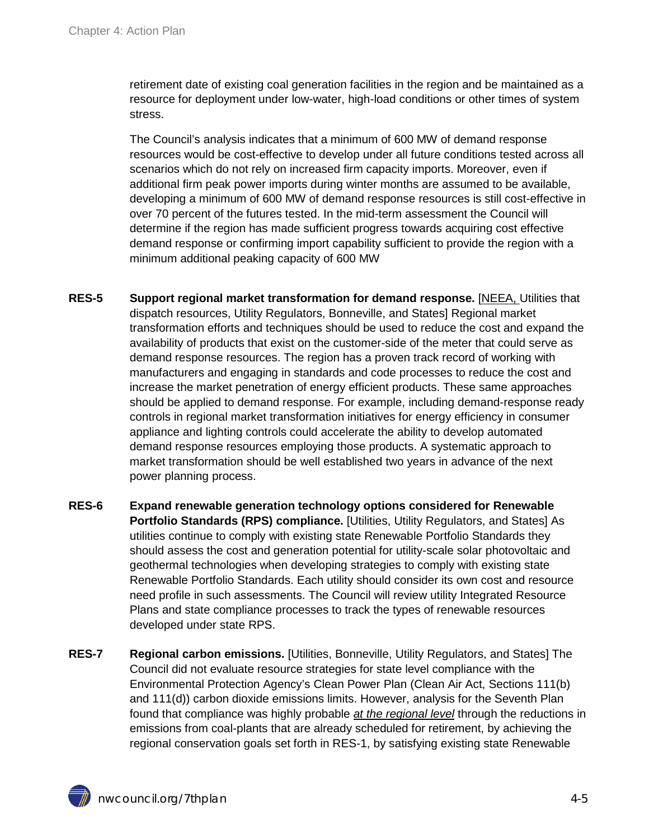retirement date of existing coal generation facilities in the region and be maintained as a resource for deployment under low-water, high-load conditions or other times of system stress.

The Council's analysis indicates that a minimum of 600 MW of demand response resources would be cost-effective to develop under all future conditions tested across all scenarios which do not rely on increased firm capacity imports. Moreover, even if additional firm peak power imports during winter months are assumed to be available, developing a minimum of 600 MW of demand response resources is still cost-effective in over 70 percent of the futures tested. In the mid-term assessment the Council will determine if the region has made sufficient progress towards acquiring cost effective demand response or confirming import capability sufficient to provide the region with a minimum additional peaking capacity of 600 MW

- <span id="page-4-0"></span>**RES-5 Support regional market transformation for demand response.** [NEEA, Utilities that dispatch resources, Utility Regulators, Bonneville, and States] Regional market transformation efforts and techniques should be used to reduce the cost and expand the availability of products that exist on the customer-side of the meter that could serve as demand response resources. The region has a proven track record of working with manufacturers and engaging in standards and code processes to reduce the cost and increase the market penetration of energy efficient products. These same approaches should be applied to demand response. For example, including demand-response ready controls in regional market transformation initiatives for energy efficiency in consumer appliance and lighting controls could accelerate the ability to develop automated demand response resources employing those products. A systematic approach to market transformation should be well established two years in advance of the next power planning process.
- **RES-6 Expand renewable generation technology options considered for Renewable Portfolio Standards (RPS) compliance.** [Utilities, Utility Regulators, and States] As utilities continue to comply with existing state Renewable Portfolio Standards they should assess the cost and generation potential for utility-scale solar photovoltaic and geothermal technologies when developing strategies to comply with existing state Renewable Portfolio Standards. Each utility should consider its own cost and resource need profile in such assessments. The Council will review utility Integrated Resource Plans and state compliance processes to track the types of renewable resources developed under state RPS.
- **RES-7 Regional carbon emissions.** [Utilities, Bonneville, Utility Regulators, and States] The Council did not evaluate resource strategies for state level compliance with the Environmental Protection Agency's Clean Power Plan (Clean Air Act, Sections 111(b) and 111(d)) carbon dioxide emissions limits. However, analysis for the Seventh Plan found that compliance was highly probable *at the regional level* through the reductions in emissions from coal-plants that are already scheduled for retirement, by achieving the regional conservation goals set forth in RES-1, by satisfying existing state Renewable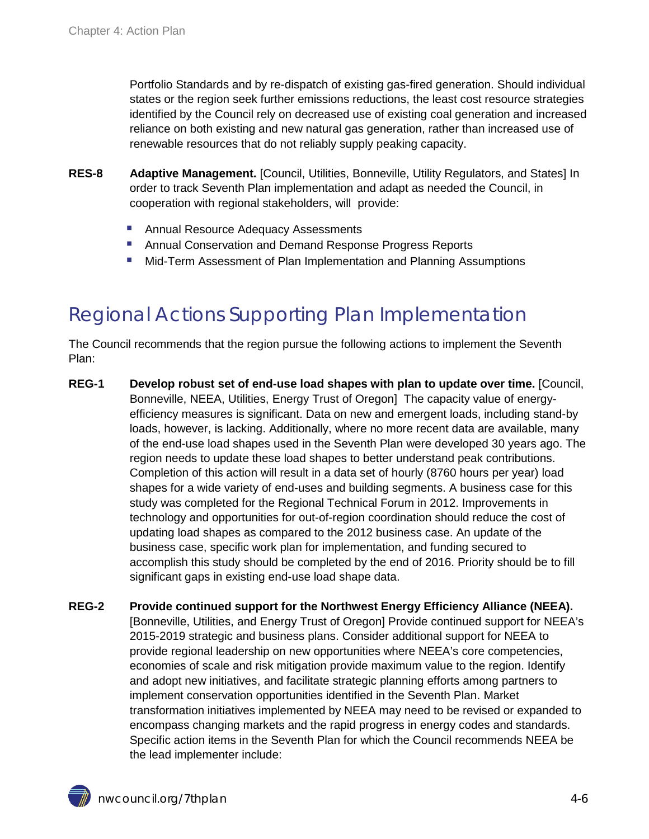Portfolio Standards and by re-dispatch of existing gas-fired generation. Should individual states or the region seek further emissions reductions, the least cost resource strategies identified by the Council rely on decreased use of existing coal generation and increased reliance on both existing and new natural gas generation, rather than increased use of renewable resources that do not reliably supply peaking capacity.

- **RES-8 Adaptive Management.** [Council, Utilities, Bonneville, Utility Regulators, and States] In order to track Seventh Plan implementation and adapt as needed the Council, in cooperation with regional stakeholders, will provide:
	- Annual Resource Adequacy Assessments
	- **Annual Conservation and Demand Response Progress Reports**
	- Mid-Term Assessment of Plan Implementation and Planning Assumptions

### <span id="page-5-0"></span>Regional Actions Supporting Plan Implementation

The Council recommends that the region pursue the following actions to implement the Seventh Plan:

- <span id="page-5-1"></span>**REG-1 Develop robust set of end-use load shapes with plan to update over time.** [Council, Bonneville, NEEA, Utilities, Energy Trust of Oregon] The capacity value of energyefficiency measures is significant. Data on new and emergent loads, including stand-by loads, however, is lacking. Additionally, where no more recent data are available, many of the end-use load shapes used in the Seventh Plan were developed 30 years ago. The region needs to update these load shapes to better understand peak contributions. Completion of this action will result in a data set of hourly (8760 hours per year) load shapes for a wide variety of end-uses and building segments. A business case for this study was completed for the Regional Technical Forum in 2012. Improvements in technology and opportunities for out-of-region coordination should reduce the cost of updating load shapes as compared to the 2012 business case. An update of the business case, specific work plan for implementation, and funding secured to accomplish this study should be completed by the end of 2016. Priority should be to fill significant gaps in existing end-use load shape data.
- **REG-2 Provide continued support for the Northwest Energy Efficiency Alliance (NEEA).** [Bonneville, Utilities, and Energy Trust of Oregon] Provide continued support for NEEA's 2015-2019 strategic and business plans. Consider additional support for NEEA to provide regional leadership on new opportunities where NEEA's core competencies, economies of scale and risk mitigation provide maximum value to the region. Identify and adopt new initiatives, and facilitate strategic planning efforts among partners to implement conservation opportunities identified in the Seventh Plan. Market transformation initiatives implemented by NEEA may need to be revised or expanded to encompass changing markets and the rapid progress in energy codes and standards. Specific action items in the Seventh Plan for which the Council recommends NEEA be the lead implementer include: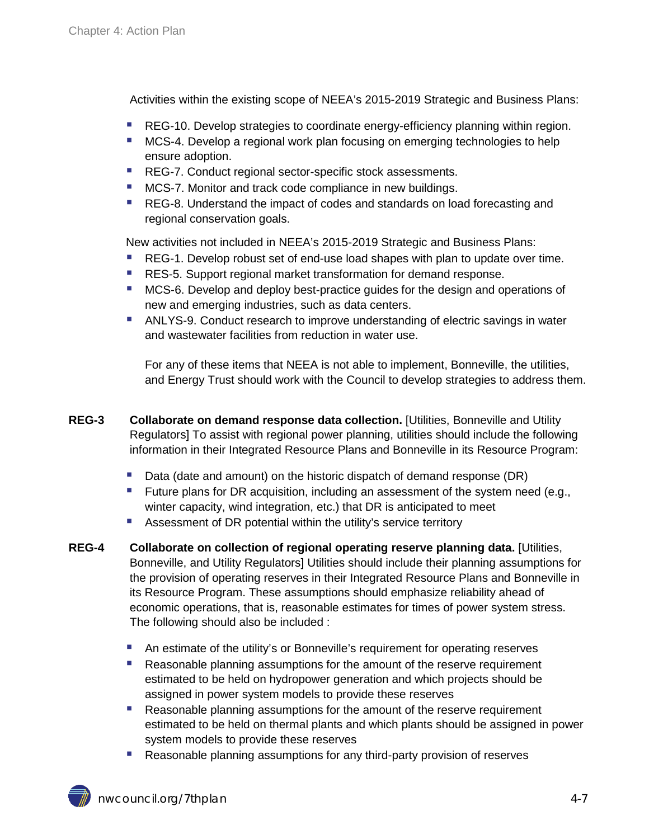Activities within the existing scope of NEEA's 2015-2019 Strategic and Business Plans:

- [REG-10.](#page-8-0) Develop strategies to coordinate energy-efficiency planning within region.
- [MCS-4.](#page-12-0) Develop a regional work plan focusing on emerging technologies to help ensure adoption.
- [REG-7.](#page-7-0) Conduct regional sector-specific stock assessments.
- **[MCS-7.](#page-12-1) Monitor and track code compliance in new buildings.**
- **[REG-8.](#page-8-1) Understand the impact of codes and standards on load forecasting and** regional conservation goals.

New activities not included in NEEA's 2015-2019 Strategic and Business Plans:

- [REG-1.](#page-5-1) Develop robust set of end-use load shapes with plan to update over time.
- **[RES-5.](#page-4-0) Support regional market transformation for demand response.**
- **[MCS-6.](#page-12-2) Develop and deploy best-practice guides for the design and operations of** new and emerging industries, such as data centers.
- **[ANLYS-9.](#page-21-0) Conduct research to improve understanding of electric savings in water** and wastewater facilities from reduction in water use.

For any of these items that NEEA is not able to implement, Bonneville, the utilities, and Energy Trust should work with the Council to develop strategies to address them.

- **REG-3 Collaborate on demand response data collection.** [Utilities, Bonneville and Utility Regulators] To assist with regional power planning, utilities should include the following information in their Integrated Resource Plans and Bonneville in its Resource Program:
	- Data (date and amount) on the historic dispatch of demand response (DR)
	- Future plans for DR acquisition, including an assessment of the system need (e.g., winter capacity, wind integration, etc.) that DR is anticipated to meet
	- **Assessment of DR potential within the utility's service territory**
- **REG-4 Collaborate on collection of regional operating reserve planning data.** [Utilities, Bonneville, and Utility Regulators] Utilities should include their planning assumptions for the provision of operating reserves in their Integrated Resource Plans and Bonneville in its Resource Program. These assumptions should emphasize reliability ahead of economic operations, that is, reasonable estimates for times of power system stress. The following should also be included :
	- An estimate of the utility's or Bonneville's requirement for operating reserves
	- Reasonable planning assumptions for the amount of the reserve requirement estimated to be held on hydropower generation and which projects should be assigned in power system models to provide these reserves
	- **Reasonable planning assumptions for the amount of the reserve requirement** estimated to be held on thermal plants and which plants should be assigned in power system models to provide these reserves
	- **Reasonable planning assumptions for any third-party provision of reserves**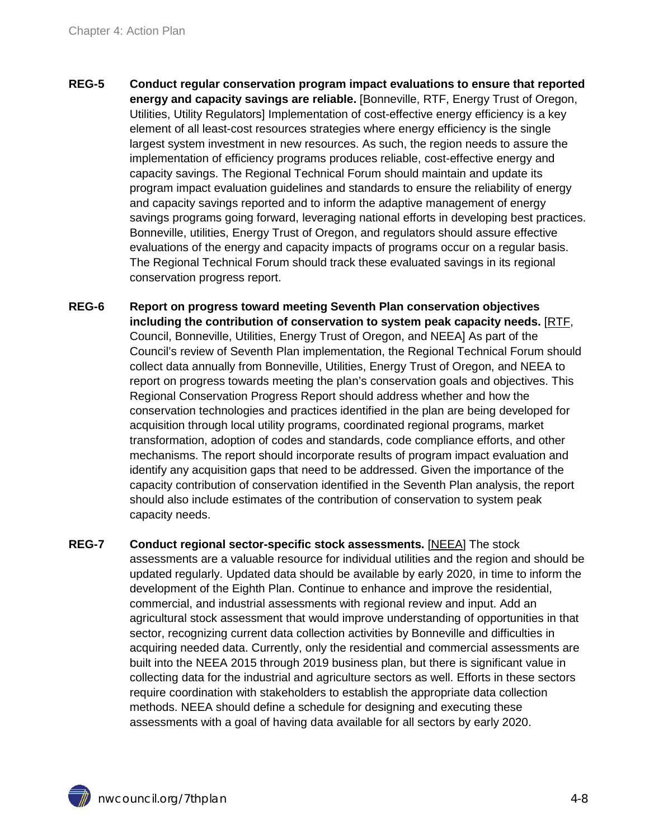- **REG-5 Conduct regular conservation program impact evaluations to ensure that reported energy and capacity savings are reliable.** [Bonneville, RTF, Energy Trust of Oregon, Utilities, Utility Regulators] Implementation of cost-effective energy efficiency is a key element of all least-cost resources strategies where energy efficiency is the single largest system investment in new resources. As such, the region needs to assure the implementation of efficiency programs produces reliable, cost-effective energy and capacity savings. The Regional Technical Forum should maintain and update its program impact evaluation guidelines and standards to ensure the reliability of energy and capacity savings reported and to inform the adaptive management of energy savings programs going forward, leveraging national efforts in developing best practices. Bonneville, utilities, Energy Trust of Oregon, and regulators should assure effective evaluations of the energy and capacity impacts of programs occur on a regular basis. The Regional Technical Forum should track these evaluated savings in its regional conservation progress report.
- **REG-6 Report on progress toward meeting Seventh Plan conservation objectives including the contribution of conservation to system peak capacity needs.** [RTF, Council, Bonneville, Utilities, Energy Trust of Oregon, and NEEA] As part of the Council's review of Seventh Plan implementation, the Regional Technical Forum should collect data annually from Bonneville, Utilities, Energy Trust of Oregon, and NEEA to report on progress towards meeting the plan's conservation goals and objectives. This Regional Conservation Progress Report should address whether and how the conservation technologies and practices identified in the plan are being developed for acquisition through local utility programs, coordinated regional programs, market transformation, adoption of codes and standards, code compliance efforts, and other mechanisms. The report should incorporate results of program impact evaluation and identify any acquisition gaps that need to be addressed. Given the importance of the capacity contribution of conservation identified in the Seventh Plan analysis, the report should also include estimates of the contribution of conservation to system peak capacity needs.
- <span id="page-7-0"></span>**REG-7 Conduct regional sector-specific stock assessments.** [NEEA] The stock assessments are a valuable resource for individual utilities and the region and should be updated regularly. Updated data should be available by early 2020, in time to inform the development of the Eighth Plan. Continue to enhance and improve the residential, commercial, and industrial assessments with regional review and input. Add an agricultural stock assessment that would improve understanding of opportunities in that sector, recognizing current data collection activities by Bonneville and difficulties in acquiring needed data. Currently, only the residential and commercial assessments are built into the NEEA 2015 through 2019 business plan, but there is significant value in collecting data for the industrial and agriculture sectors as well. Efforts in these sectors require coordination with stakeholders to establish the appropriate data collection methods. NEEA should define a schedule for designing and executing these assessments with a goal of having data available for all sectors by early 2020.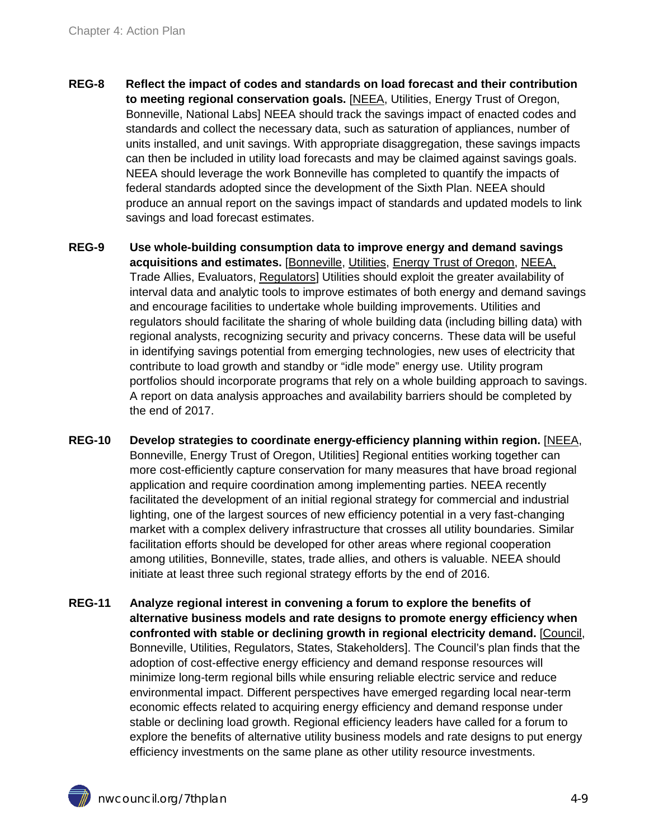- <span id="page-8-1"></span>**REG-8 Reflect the impact of codes and standards on load forecast and their contribution to meeting regional conservation goals.** [NEEA, Utilities, Energy Trust of Oregon, Bonneville, National Labs] NEEA should track the savings impact of enacted codes and standards and collect the necessary data, such as saturation of appliances, number of units installed, and unit savings. With appropriate disaggregation, these savings impacts can then be included in utility load forecasts and may be claimed against savings goals. NEEA should leverage the work Bonneville has completed to quantify the impacts of federal standards adopted since the development of the Sixth Plan. NEEA should produce an annual report on the savings impact of standards and updated models to link savings and load forecast estimates.
- **REG-9 Use whole-building consumption data to improve energy and demand savings acquisitions and estimates.** [Bonneville, Utilities, Energy Trust of Oregon, NEEA, Trade Allies, Evaluators, Regulators] Utilities should exploit the greater availability of interval data and analytic tools to improve estimates of both energy and demand savings and encourage facilities to undertake whole building improvements. Utilities and regulators should facilitate the sharing of whole building data (including billing data) with regional analysts, recognizing security and privacy concerns. These data will be useful in identifying savings potential from emerging technologies, new uses of electricity that contribute to load growth and standby or "idle mode" energy use. Utility program portfolios should incorporate programs that rely on a whole building approach to savings. A report on data analysis approaches and availability barriers should be completed by the end of 2017.
- <span id="page-8-0"></span>**REG-10 Develop strategies to coordinate energy-efficiency planning within region.** [NEEA, Bonneville, Energy Trust of Oregon, Utilities] Regional entities working together can more cost-efficiently capture conservation for many measures that have broad regional application and require coordination among implementing parties. NEEA recently facilitated the development of an initial regional strategy for commercial and industrial lighting, one of the largest sources of new efficiency potential in a very fast-changing market with a complex delivery infrastructure that crosses all utility boundaries. Similar facilitation efforts should be developed for other areas where regional cooperation among utilities, Bonneville, states, trade allies, and others is valuable. NEEA should initiate at least three such regional strategy efforts by the end of 2016.
- **REG-11 Analyze regional interest in convening a forum to explore the benefits of alternative business models and rate designs to promote energy efficiency when confronted with stable or declining growth in regional electricity demand.** [Council, Bonneville, Utilities, Regulators, States, Stakeholders]. The Council's plan finds that the adoption of cost-effective energy efficiency and demand response resources will minimize long-term regional bills while ensuring reliable electric service and reduce environmental impact. Different perspectives have emerged regarding local near-term economic effects related to acquiring energy efficiency and demand response under stable or declining load growth. Regional efficiency leaders have called for a forum to explore the benefits of alternative utility business models and rate designs to put energy efficiency investments on the same plane as other utility resource investments.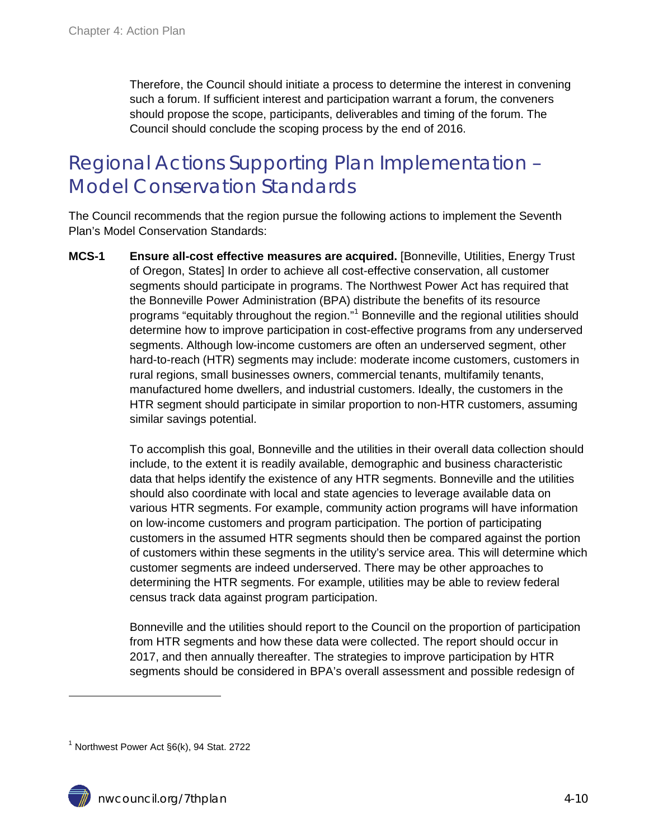Therefore, the Council should initiate a process to determine the interest in convening such a forum. If sufficient interest and participation warrant a forum, the conveners should propose the scope, participants, deliverables and timing of the forum. The Council should conclude the scoping process by the end of 2016.

### <span id="page-9-0"></span>Regional Actions Supporting Plan Implementation – Model Conservation Standards

The Council recommends that the region pursue the following actions to implement the Seventh Plan's Model Conservation Standards:

**MCS-1 Ensure all-cost effective measures are acquired.** [Bonneville, Utilities, Energy Trust of Oregon, States] In order to achieve all cost-effective conservation, all customer segments should participate in programs. The Northwest Power Act has required that the Bonneville Power Administration (BPA) distribute the benefits of its resource programs "equitably throughout the region."[1](#page-9-1) Bonneville and the regional utilities should determine how to improve participation in cost-effective programs from any underserved segments. Although low-income customers are often an underserved segment, other hard-to-reach (HTR) segments may include: moderate income customers, customers in rural regions, small businesses owners, commercial tenants, multifamily tenants, manufactured home dwellers, and industrial customers. Ideally, the customers in the HTR segment should participate in similar proportion to non-HTR customers, assuming similar savings potential.

> To accomplish this goal, Bonneville and the utilities in their overall data collection should include, to the extent it is readily available, demographic and business characteristic data that helps identify the existence of any HTR segments. Bonneville and the utilities should also coordinate with local and state agencies to leverage available data on various HTR segments. For example, community action programs will have information on low-income customers and program participation. The portion of participating customers in the assumed HTR segments should then be compared against the portion of customers within these segments in the utility's service area. This will determine which customer segments are indeed underserved. There may be other approaches to determining the HTR segments. For example, utilities may be able to review federal census track data against program participation.

Bonneville and the utilities should report to the Council on the proportion of participation from HTR segments and how these data were collected. The report should occur in 2017, and then annually thereafter. The strategies to improve participation by HTR segments should be considered in BPA's overall assessment and possible redesign of

 $\ddot{\phantom{a}}$ 

<span id="page-9-1"></span> $1$  Northwest Power Act  $\S6(k)$ , 94 Stat. 2722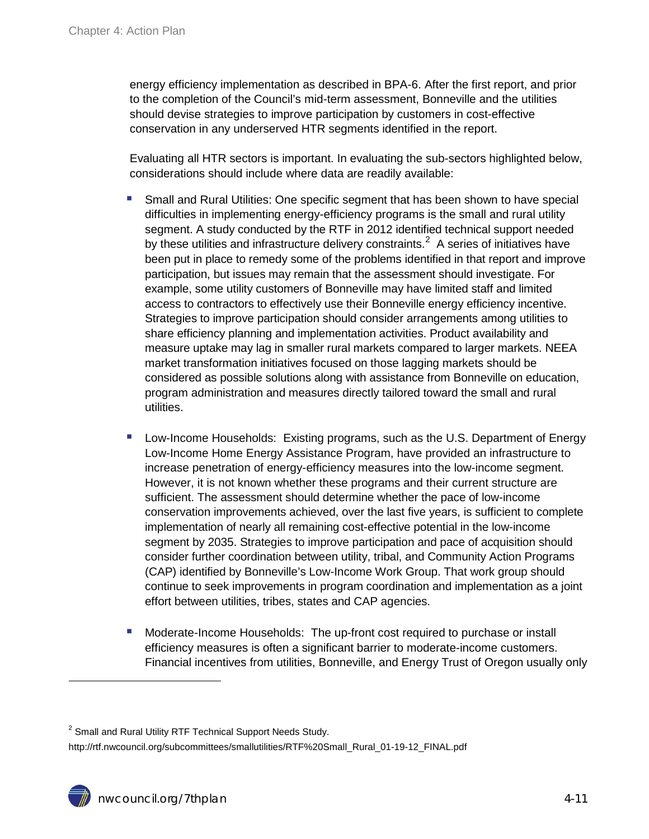energy efficiency implementation as described in BPA-6. After the first report, and prior to the completion of the Council's mid-term assessment, Bonneville and the utilities should devise strategies to improve participation by customers in cost-effective conservation in any underserved HTR segments identified in the report.

Evaluating all HTR sectors is important. In evaluating the sub-sectors highlighted below, considerations should include where data are readily available:

- Small and Rural Utilities: One specific segment that has been shown to have special difficulties in implementing energy-efficiency programs is the small and rural utility segment. A study conducted by the RTF in 2012 identified technical support needed by these utilities and infrastructure delivery constraints.<sup>[2](#page-10-0)</sup> A series of initiatives have been put in place to remedy some of the problems identified in that report and improve participation, but issues may remain that the assessment should investigate. For example, some utility customers of Bonneville may have limited staff and limited access to contractors to effectively use their Bonneville energy efficiency incentive. Strategies to improve participation should consider arrangements among utilities to share efficiency planning and implementation activities. Product availability and measure uptake may lag in smaller rural markets compared to larger markets. NEEA market transformation initiatives focused on those lagging markets should be considered as possible solutions along with assistance from Bonneville on education, program administration and measures directly tailored toward the small and rural utilities.
- Low-Income Households: Existing programs, such as the U.S. Department of Energy Low-Income Home Energy Assistance Program, have provided an infrastructure to increase penetration of energy-efficiency measures into the low-income segment. However, it is not known whether these programs and their current structure are sufficient. The assessment should determine whether the pace of low-income conservation improvements achieved, over the last five years, is sufficient to complete implementation of nearly all remaining cost-effective potential in the low-income segment by 2035. Strategies to improve participation and pace of acquisition should consider further coordination between utility, tribal, and Community Action Programs (CAP) identified by Bonneville's Low-Income Work Group. That work group should continue to seek improvements in program coordination and implementation as a joint effort between utilities, tribes, states and CAP agencies.
- Moderate-Income Households: The up-front cost required to purchase or install efficiency measures is often a significant barrier to moderate-income customers. Financial incentives from utilities, Bonneville, and Energy Trust of Oregon usually only

 $\overline{a}$ 

<span id="page-10-0"></span> $2$  Small and Rural Utility RTF Technical Support Needs Study.

http://rtf.nwcouncil.org/subcommittees/smallutilities/RTF%20Small\_Rural\_01-19-12\_FINAL.pdf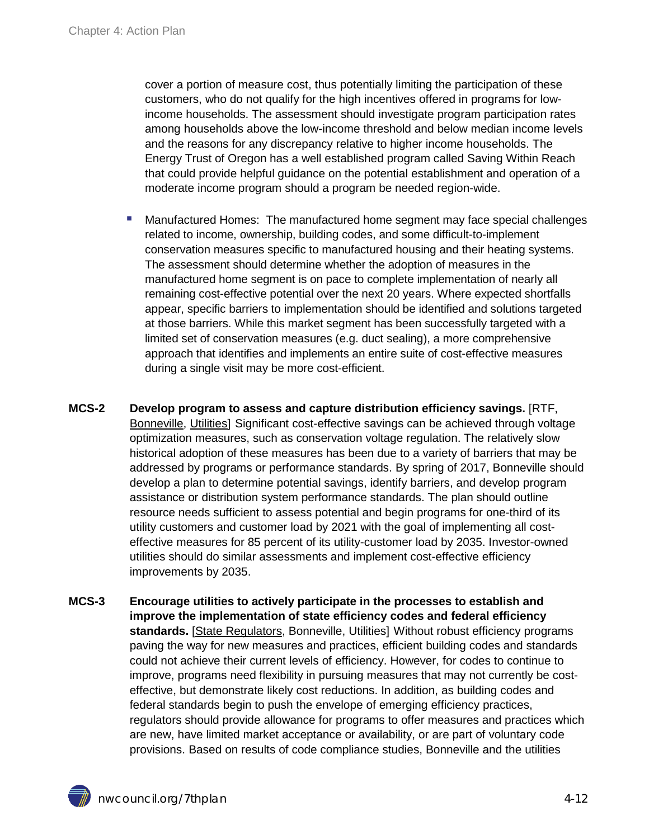cover a portion of measure cost, thus potentially limiting the participation of these customers, who do not qualify for the high incentives offered in programs for lowincome households. The assessment should investigate program participation rates among households above the low-income threshold and below median income levels and the reasons for any discrepancy relative to higher income households. The Energy Trust of Oregon has a well established program called Saving Within Reach that could provide helpful guidance on the potential establishment and operation of a moderate income program should a program be needed region-wide.

- Manufactured Homes: The manufactured home segment may face special challenges related to income, ownership, building codes, and some difficult-to-implement conservation measures specific to manufactured housing and their heating systems. The assessment should determine whether the adoption of measures in the manufactured home segment is on pace to complete implementation of nearly all remaining cost-effective potential over the next 20 years. Where expected shortfalls appear, specific barriers to implementation should be identified and solutions targeted at those barriers. While this market segment has been successfully targeted with a limited set of conservation measures (e.g. duct sealing), a more comprehensive approach that identifies and implements an entire suite of cost-effective measures during a single visit may be more cost-efficient.
- **MCS-2 Develop program to assess and capture distribution efficiency savings.** [RTF, Bonneville, Utilities] Significant cost-effective savings can be achieved through voltage optimization measures, such as conservation voltage regulation. The relatively slow historical adoption of these measures has been due to a variety of barriers that may be addressed by programs or performance standards. By spring of 2017, Bonneville should develop a plan to determine potential savings, identify barriers, and develop program assistance or distribution system performance standards. The plan should outline resource needs sufficient to assess potential and begin programs for one-third of its utility customers and customer load by 2021 with the goal of implementing all costeffective measures for 85 percent of its utility-customer load by 2035. Investor-owned utilities should do similar assessments and implement cost-effective efficiency improvements by 2035.
- **MCS-3 Encourage utilities to actively participate in the processes to establish and improve the implementation of state efficiency codes and federal efficiency standards.** [State Regulators, Bonneville, Utilities] Without robust efficiency programs paving the way for new measures and practices, efficient building codes and standards could not achieve their current levels of efficiency. However, for codes to continue to improve, programs need flexibility in pursuing measures that may not currently be costeffective, but demonstrate likely cost reductions. In addition, as building codes and federal standards begin to push the envelope of emerging efficiency practices, regulators should provide allowance for programs to offer measures and practices which are new, have limited market acceptance or availability, or are part of voluntary code provisions. Based on results of code compliance studies, Bonneville and the utilities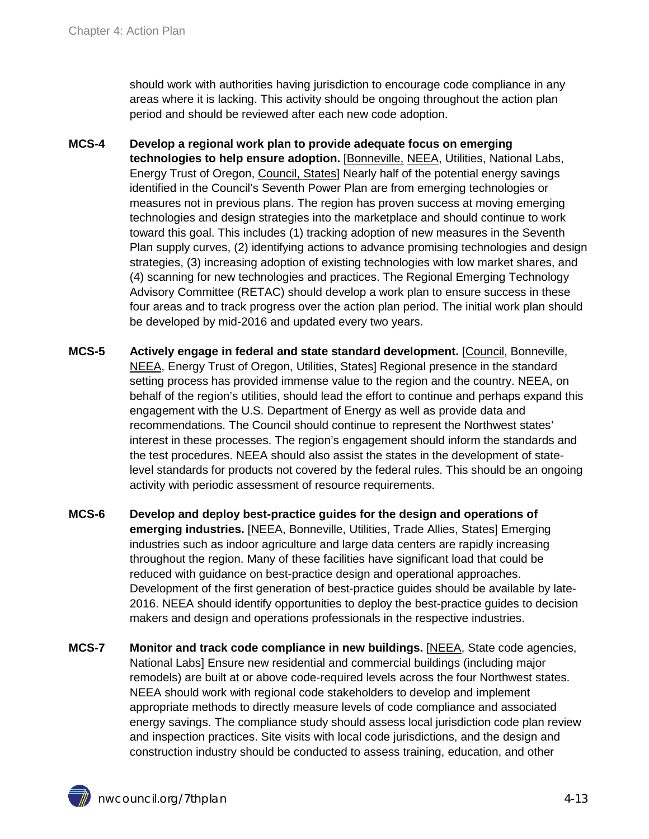should work with authorities having jurisdiction to encourage code compliance in any areas where it is lacking. This activity should be ongoing throughout the action plan period and should be reviewed after each new code adoption.

- <span id="page-12-0"></span>**MCS-4 Develop a regional work plan to provide adequate focus on emerging technologies to help ensure adoption.** [Bonneville, NEEA, Utilities, National Labs, Energy Trust of Oregon, Council, States] Nearly half of the potential energy savings identified in the Council's Seventh Power Plan are from emerging technologies or measures not in previous plans. The region has proven success at moving emerging technologies and design strategies into the marketplace and should continue to work toward this goal. This includes (1) tracking adoption of new measures in the Seventh Plan supply curves, (2) identifying actions to advance promising technologies and design strategies, (3) increasing adoption of existing technologies with low market shares, and (4) scanning for new technologies and practices. The Regional Emerging Technology Advisory Committee (RETAC) should develop a work plan to ensure success in these four areas and to track progress over the action plan period. The initial work plan should be developed by mid-2016 and updated every two years.
- **MCS-5 Actively engage in federal and state standard development.** [Council, Bonneville, NEEA, Energy Trust of Oregon, Utilities, States] Regional presence in the standard setting process has provided immense value to the region and the country. NEEA, on behalf of the region's utilities, should lead the effort to continue and perhaps expand this engagement with the U.S. Department of Energy as well as provide data and recommendations. The Council should continue to represent the Northwest states' interest in these processes. The region's engagement should inform the standards and the test procedures. NEEA should also assist the states in the development of statelevel standards for products not covered by the federal rules. This should be an ongoing activity with periodic assessment of resource requirements.
- <span id="page-12-2"></span>**MCS-6 Develop and deploy best-practice guides for the design and operations of emerging industries.** [NEEA, Bonneville, Utilities, Trade Allies, States] Emerging industries such as indoor agriculture and large data centers are rapidly increasing throughout the region. Many of these facilities have significant load that could be reduced with guidance on best-practice design and operational approaches. Development of the first generation of best-practice guides should be available by late-2016. NEEA should identify opportunities to deploy the best-practice guides to decision makers and design and operations professionals in the respective industries.
- <span id="page-12-1"></span>**MCS-7 Monitor and track code compliance in new buildings.** [NEEA, State code agencies, National Labs] Ensure new residential and commercial buildings (including major remodels) are built at or above code-required levels across the four Northwest states. NEEA should work with regional code stakeholders to develop and implement appropriate methods to directly measure levels of code compliance and associated energy savings. The compliance study should assess local jurisdiction code plan review and inspection practices. Site visits with local code jurisdictions, and the design and construction industry should be conducted to assess training, education, and other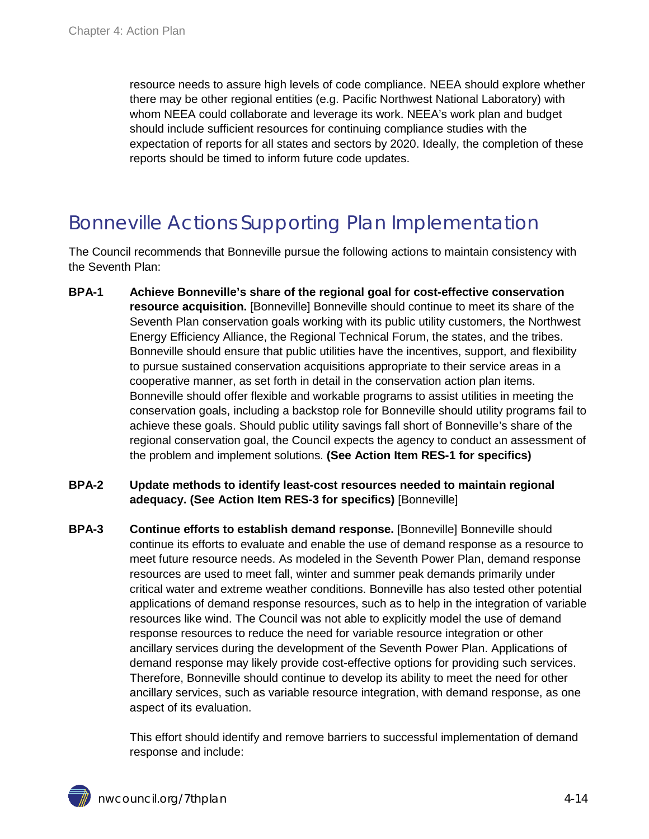resource needs to assure high levels of code compliance. NEEA should explore whether there may be other regional entities (e.g. Pacific Northwest National Laboratory) with whom NEEA could collaborate and leverage its work. NEEA's work plan and budget should include sufficient resources for continuing compliance studies with the expectation of reports for all states and sectors by 2020. Ideally, the completion of these reports should be timed to inform future code updates.

### <span id="page-13-0"></span>Bonneville Actions Supporting Plan Implementation

The Council recommends that Bonneville pursue the following actions to maintain consistency with the Seventh Plan:

- **BPA-1 Achieve Bonneville's share of the regional goal for cost-effective conservation resource acquisition.** [Bonneville] Bonneville should continue to meet its share of the Seventh Plan conservation goals working with its public utility customers, the Northwest Energy Efficiency Alliance, the Regional Technical Forum, the states, and the tribes. Bonneville should ensure that public utilities have the incentives, support, and flexibility to pursue sustained conservation acquisitions appropriate to their service areas in a cooperative manner, as set forth in detail in the conservation action plan items. Bonneville should offer flexible and workable programs to assist utilities in meeting the conservation goals, including a backstop role for Bonneville should utility programs fail to achieve these goals. Should public utility savings fall short of Bonneville's share of the regional conservation goal, the Council expects the agency to conduct an assessment of the problem and implement solutions. **(See Action Item RES-1 for specifics)**
- **BPA-2 Update methods to identify least-cost resources needed to maintain regional adequacy. (See Action Item RES-3 for specifics)** [Bonneville]
- **BPA-3 Continue efforts to establish demand response.** [Bonneville] Bonneville should continue its efforts to evaluate and enable the use of demand response as a resource to meet future resource needs. As modeled in the Seventh Power Plan, demand response resources are used to meet fall, winter and summer peak demands primarily under critical water and extreme weather conditions. Bonneville has also tested other potential applications of demand response resources, such as to help in the integration of variable resources like wind. The Council was not able to explicitly model the use of demand response resources to reduce the need for variable resource integration or other ancillary services during the development of the Seventh Power Plan. Applications of demand response may likely provide cost-effective options for providing such services. Therefore, Bonneville should continue to develop its ability to meet the need for other ancillary services, such as variable resource integration, with demand response, as one aspect of its evaluation.

This effort should identify and remove barriers to successful implementation of demand response and include: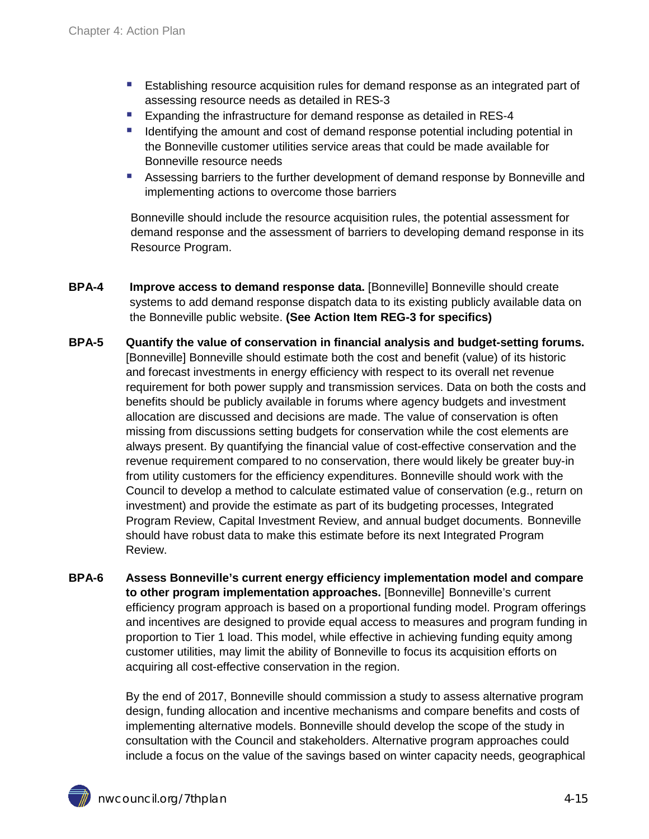- Establishing resource acquisition rules for demand response as an integrated part of assessing resource needs as detailed in RES-3
- **Expanding the infrastructure for demand response as detailed in RES-4**
- If Identifying the amount and cost of demand response potential including potential in the Bonneville customer utilities service areas that could be made available for Bonneville resource needs
- Assessing barriers to the further development of demand response by Bonneville and implementing actions to overcome those barriers

Bonneville should include the resource acquisition rules, the potential assessment for demand response and the assessment of barriers to developing demand response in its Resource Program.

- **BPA-4 Improve access to demand response data.** [Bonneville] Bonneville should create systems to add demand response dispatch data to its existing publicly available data on the Bonneville public website. **(See Action Item REG-3 for specifics)**
- **BPA-5 Quantify the value of conservation in financial analysis and budget-setting forums.** [Bonneville] Bonneville should estimate both the cost and benefit (value) of its historic and forecast investments in energy efficiency with respect to its overall net revenue requirement for both power supply and transmission services. Data on both the costs and benefits should be publicly available in forums where agency budgets and investment allocation are discussed and decisions are made. The value of conservation is often missing from discussions setting budgets for conservation while the cost elements are always present. By quantifying the financial value of cost-effective conservation and the revenue requirement compared to no conservation, there would likely be greater buy-in from utility customers for the efficiency expenditures. Bonneville should work with the Council to develop a method to calculate estimated value of conservation (e.g., return on investment) and provide the estimate as part of its budgeting processes, Integrated Program Review, Capital Investment Review, and annual budget documents. Bonneville should have robust data to make this estimate before its next Integrated Program Review.
- **BPA-6 Assess Bonneville's current energy efficiency implementation model and compare to other program implementation approaches.** [Bonneville] Bonneville's current efficiency program approach is based on a proportional funding model. Program offerings and incentives are designed to provide equal access to measures and program funding in proportion to Tier 1 load. This model, while effective in achieving funding equity among customer utilities, may limit the ability of Bonneville to focus its acquisition efforts on acquiring all cost-effective conservation in the region.

By the end of 2017, Bonneville should commission a study to assess alternative program design, funding allocation and incentive mechanisms and compare benefits and costs of implementing alternative models. Bonneville should develop the scope of the study in consultation with the Council and stakeholders. Alternative program approaches could include a focus on the value of the savings based on winter capacity needs, geographical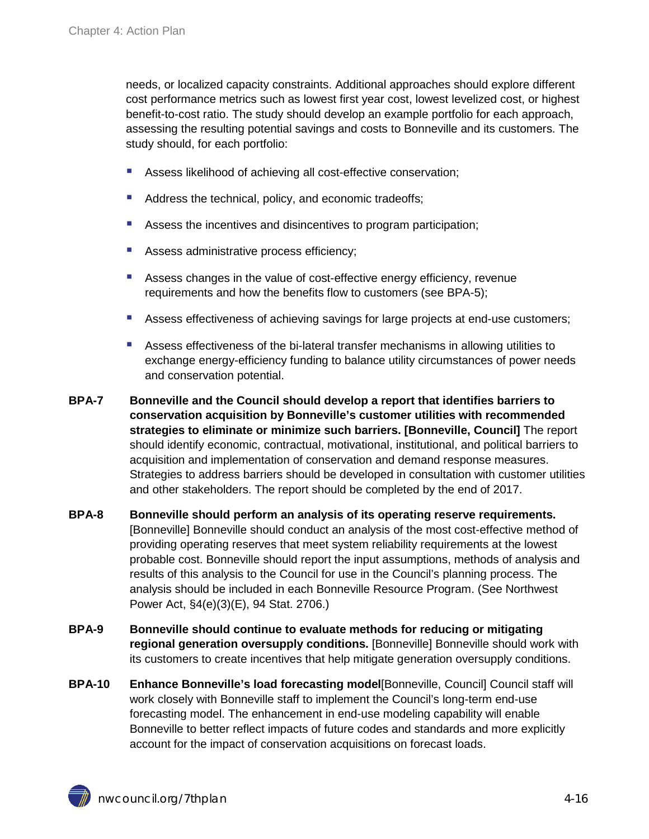needs, or localized capacity constraints. Additional approaches should explore different cost performance metrics such as lowest first year cost, lowest levelized cost, or highest benefit-to-cost ratio. The study should develop an example portfolio for each approach, assessing the resulting potential savings and costs to Bonneville and its customers. The study should, for each portfolio:

- Assess likelihood of achieving all cost-effective conservation;
- Address the technical, policy, and economic tradeoffs;
- Assess the incentives and disincentives to program participation;
- Assess administrative process efficiency;
- Assess changes in the value of cost-effective energy efficiency, revenue requirements and how the benefits flow to customers (see BPA-5);
- Assess effectiveness of achieving savings for large projects at end-use customers;
- Assess effectiveness of the bi-lateral transfer mechanisms in allowing utilities to exchange energy-efficiency funding to balance utility circumstances of power needs and conservation potential.
- **BPA-7 Bonneville and the Council should develop a report that identifies barriers to conservation acquisition by Bonneville's customer utilities with recommended strategies to eliminate or minimize such barriers. [Bonneville, Council]** The report should identify economic, contractual, motivational, institutional, and political barriers to acquisition and implementation of conservation and demand response measures. Strategies to address barriers should be developed in consultation with customer utilities and other stakeholders. The report should be completed by the end of 2017.
- **BPA-8 Bonneville should perform an analysis of its operating reserve requirements.** [Bonneville] Bonneville should conduct an analysis of the most cost-effective method of providing operating reserves that meet system reliability requirements at the lowest probable cost. Bonneville should report the input assumptions, methods of analysis and results of this analysis to the Council for use in the Council's planning process. The analysis should be included in each Bonneville Resource Program. (See Northwest Power Act, §4(e)(3)(E), 94 Stat. 2706.)
- **BPA-9 Bonneville should continue to evaluate methods for reducing or mitigating regional generation oversupply conditions.** [Bonneville] Bonneville should work with its customers to create incentives that help mitigate generation oversupply conditions.
- **BPA-10 Enhance Bonneville's load forecasting model**[Bonneville, Council] Council staff will work closely with Bonneville staff to implement the Council's long-term end-use forecasting model. The enhancement in end-use modeling capability will enable Bonneville to better reflect impacts of future codes and standards and more explicitly account for the impact of conservation acquisitions on forecast loads.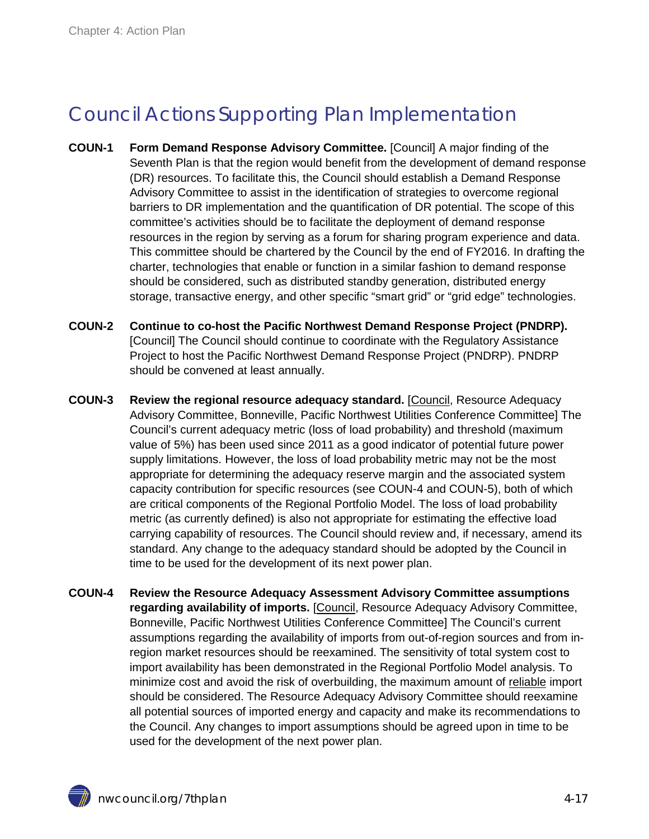### <span id="page-16-0"></span>Council Actions Supporting Plan Implementation

- **COUN-1 Form Demand Response Advisory Committee.** [Council] A major finding of the Seventh Plan is that the region would benefit from the development of demand response (DR) resources. To facilitate this, the Council should establish a Demand Response Advisory Committee to assist in the identification of strategies to overcome regional barriers to DR implementation and the quantification of DR potential. The scope of this committee's activities should be to facilitate the deployment of demand response resources in the region by serving as a forum for sharing program experience and data. This committee should be chartered by the Council by the end of FY2016. In drafting the charter, technologies that enable or function in a similar fashion to demand response should be considered, such as distributed standby generation, distributed energy storage, transactive energy, and other specific "smart grid" or "grid edge" technologies.
- **COUN-2 Continue to co-host the Pacific Northwest Demand Response Project (PNDRP).** [Council] The Council should continue to coordinate with the Regulatory Assistance Project to host the Pacific Northwest Demand Response Project (PNDRP). PNDRP should be convened at least annually.
- **COUN-3 Review the regional resource adequacy standard.** [Council, Resource Adequacy Advisory Committee, Bonneville, Pacific Northwest Utilities Conference Committee] The Council's current adequacy metric (loss of load probability) and threshold (maximum value of 5%) has been used since 2011 as a good indicator of potential future power supply limitations. However, the loss of load probability metric may not be the most appropriate for determining the adequacy reserve margin and the associated system capacity contribution for specific resources (see COUN-4 and COUN-5), both of which are critical components of the Regional Portfolio Model. The loss of load probability metric (as currently defined) is also not appropriate for estimating the effective load carrying capability of resources. The Council should review and, if necessary, amend its standard. Any change to the adequacy standard should be adopted by the Council in time to be used for the development of its next power plan.
- **COUN-4 Review the Resource Adequacy Assessment Advisory Committee assumptions regarding availability of imports.** [Council, Resource Adequacy Advisory Committee, Bonneville, Pacific Northwest Utilities Conference Committee] The Council's current assumptions regarding the availability of imports from out-of-region sources and from inregion market resources should be reexamined. The sensitivity of total system cost to import availability has been demonstrated in the Regional Portfolio Model analysis. To minimize cost and avoid the risk of overbuilding, the maximum amount of reliable import should be considered. The Resource Adequacy Advisory Committee should reexamine all potential sources of imported energy and capacity and make its recommendations to the Council. Any changes to import assumptions should be agreed upon in time to be used for the development of the next power plan.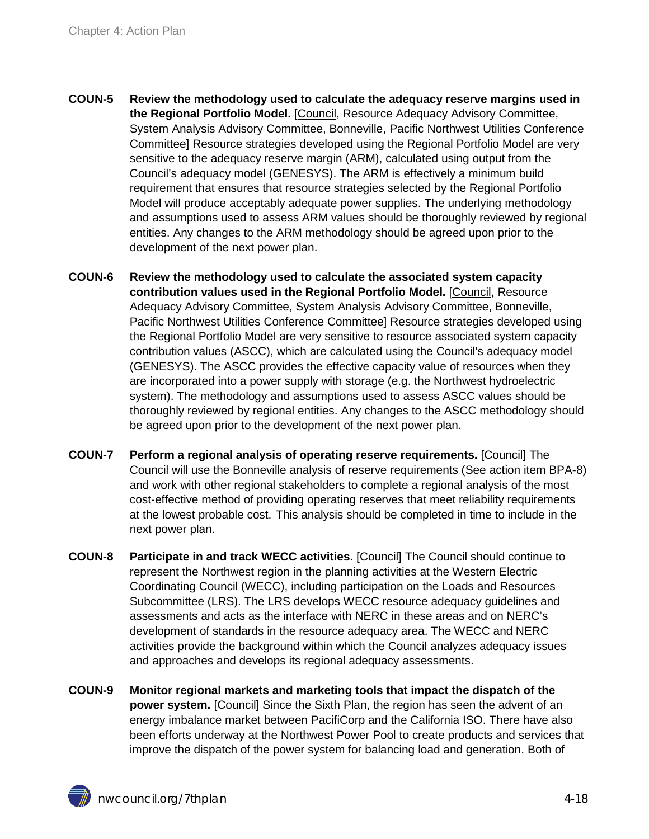- **COUN-5 Review the methodology used to calculate the adequacy reserve margins used in the Regional Portfolio Model.** [Council, Resource Adequacy Advisory Committee, System Analysis Advisory Committee, Bonneville, Pacific Northwest Utilities Conference Committee] Resource strategies developed using the Regional Portfolio Model are very sensitive to the adequacy reserve margin (ARM), calculated using output from the Council's adequacy model (GENESYS). The ARM is effectively a minimum build requirement that ensures that resource strategies selected by the Regional Portfolio Model will produce acceptably adequate power supplies. The underlying methodology and assumptions used to assess ARM values should be thoroughly reviewed by regional entities. Any changes to the ARM methodology should be agreed upon prior to the development of the next power plan.
- **COUN-6 Review the methodology used to calculate the associated system capacity contribution values used in the Regional Portfolio Model.** [Council, Resource Adequacy Advisory Committee, System Analysis Advisory Committee, Bonneville, Pacific Northwest Utilities Conference Committee] Resource strategies developed using the Regional Portfolio Model are very sensitive to resource associated system capacity contribution values (ASCC), which are calculated using the Council's adequacy model (GENESYS). The ASCC provides the effective capacity value of resources when they are incorporated into a power supply with storage (e.g. the Northwest hydroelectric system). The methodology and assumptions used to assess ASCC values should be thoroughly reviewed by regional entities. Any changes to the ASCC methodology should be agreed upon prior to the development of the next power plan.
- **COUN-7 Perform a regional analysis of operating reserve requirements.** [Council] The Council will use the Bonneville analysis of reserve requirements (See action item BPA-8) and work with other regional stakeholders to complete a regional analysis of the most cost-effective method of providing operating reserves that meet reliability requirements at the lowest probable cost. This analysis should be completed in time to include in the next power plan.
- **COUN-8 Participate in and track WECC activities.** [Council] The Council should continue to represent the Northwest region in the planning activities at the Western Electric Coordinating Council (WECC), including participation on the Loads and Resources Subcommittee (LRS). The LRS develops WECC resource adequacy guidelines and assessments and acts as the interface with NERC in these areas and on NERC's development of standards in the resource adequacy area. The WECC and NERC activities provide the background within which the Council analyzes adequacy issues and approaches and develops its regional adequacy assessments.
- **COUN-9 Monitor regional markets and marketing tools that impact the dispatch of the power system.** [Council] Since the Sixth Plan, the region has seen the advent of an energy imbalance market between PacifiCorp and the California ISO. There have also been efforts underway at the Northwest Power Pool to create products and services that improve the dispatch of the power system for balancing load and generation. Both of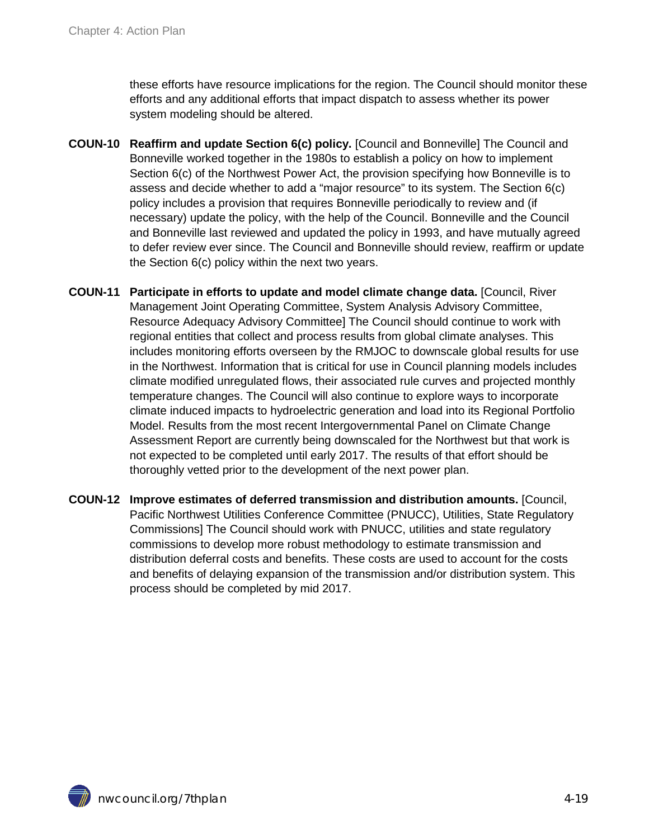these efforts have resource implications for the region. The Council should monitor these efforts and any additional efforts that impact dispatch to assess whether its power system modeling should be altered.

- **COUN-10 Reaffirm and update Section 6(c) policy.** [Council and Bonneville] The Council and Bonneville worked together in the 1980s to establish a policy on how to implement Section 6(c) of the Northwest Power Act, the provision specifying how Bonneville is to assess and decide whether to add a "major resource" to its system. The Section 6(c) policy includes a provision that requires Bonneville periodically to review and (if necessary) update the policy, with the help of the Council. Bonneville and the Council and Bonneville last reviewed and updated the policy in 1993, and have mutually agreed to defer review ever since. The Council and Bonneville should review, reaffirm or update the Section 6(c) policy within the next two years.
- **COUN-11 Participate in efforts to update and model climate change data.** [Council, River Management Joint Operating Committee, System Analysis Advisory Committee, Resource Adequacy Advisory Committee] The Council should continue to work with regional entities that collect and process results from global climate analyses. This includes monitoring efforts overseen by the RMJOC to downscale global results for use in the Northwest. Information that is critical for use in Council planning models includes climate modified unregulated flows, their associated rule curves and projected monthly temperature changes. The Council will also continue to explore ways to incorporate climate induced impacts to hydroelectric generation and load into its Regional Portfolio Model. Results from the most recent Intergovernmental Panel on Climate Change Assessment Report are currently being downscaled for the Northwest but that work is not expected to be completed until early 2017. The results of that effort should be thoroughly vetted prior to the development of the next power plan.
- **COUN-12 Improve estimates of deferred transmission and distribution amounts.** [Council, Pacific Northwest Utilities Conference Committee (PNUCC), Utilities, State Regulatory Commissions] The Council should work with PNUCC, utilities and state regulatory commissions to develop more robust methodology to estimate transmission and distribution deferral costs and benefits. These costs are used to account for the costs and benefits of delaying expansion of the transmission and/or distribution system. This process should be completed by mid 2017.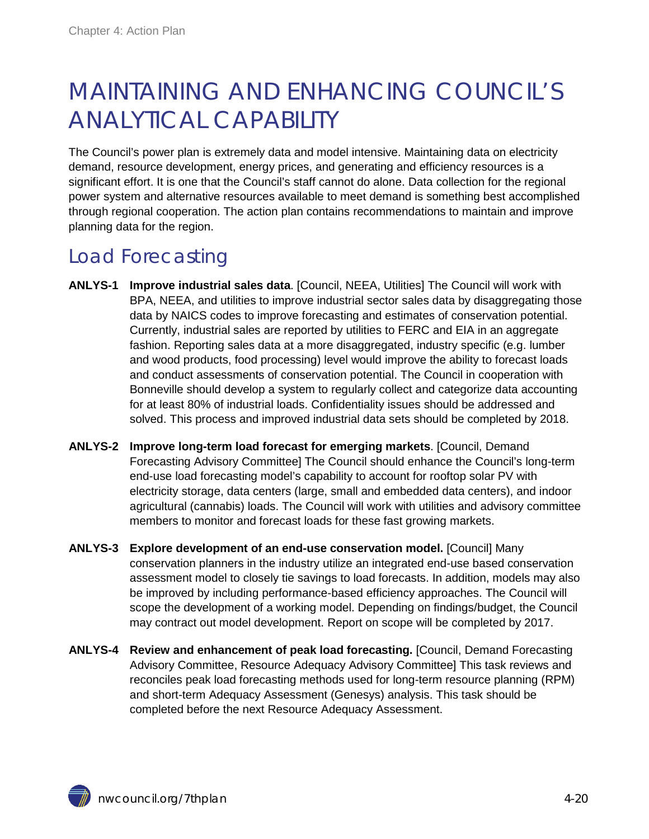## <span id="page-19-0"></span>MAINTAINING AND ENHANCING COUNCIL'S ANALYTICAL CAPABILITY

The Council's power plan is extremely data and model intensive. Maintaining data on electricity demand, resource development, energy prices, and generating and efficiency resources is a significant effort. It is one that the Council's staff cannot do alone. Data collection for the regional power system and alternative resources available to meet demand is something best accomplished through regional cooperation. The action plan contains recommendations to maintain and improve planning data for the region.

### <span id="page-19-1"></span>Load Forecasting

- **ANLYS-1 Improve industrial sales data**. [Council, NEEA, Utilities] The Council will work with BPA, NEEA, and utilities to improve industrial sector sales data by disaggregating those data by NAICS codes to improve forecasting and estimates of conservation potential. Currently, industrial sales are reported by utilities to FERC and EIA in an aggregate fashion. Reporting sales data at a more disaggregated, industry specific (e.g. lumber and wood products, food processing) level would improve the ability to forecast loads and conduct assessments of conservation potential. The Council in cooperation with Bonneville should develop a system to regularly collect and categorize data accounting for at least 80% of industrial loads. Confidentiality issues should be addressed and solved. This process and improved industrial data sets should be completed by 2018.
- **ANLYS-2 Improve long-term load forecast for emerging markets**. [Council, Demand Forecasting Advisory Committee] The Council should enhance the Council's long-term end-use load forecasting model's capability to account for rooftop solar PV with electricity storage, data centers (large, small and embedded data centers), and indoor agricultural (cannabis) loads. The Council will work with utilities and advisory committee members to monitor and forecast loads for these fast growing markets.
- **ANLYS-3 Explore development of an end-use conservation model.** [Council] Many conservation planners in the industry utilize an integrated end-use based conservation assessment model to closely tie savings to load forecasts. In addition, models may also be improved by including performance-based efficiency approaches. The Council will scope the development of a working model. Depending on findings/budget, the Council may contract out model development. Report on scope will be completed by 2017.
- **ANLYS-4 Review and enhancement of peak load forecasting.** [Council, Demand Forecasting Advisory Committee, Resource Adequacy Advisory Committee] This task reviews and reconciles peak load forecasting methods used for long-term resource planning (RPM) and short-term Adequacy Assessment (Genesys) analysis. This task should be completed before the next Resource Adequacy Assessment.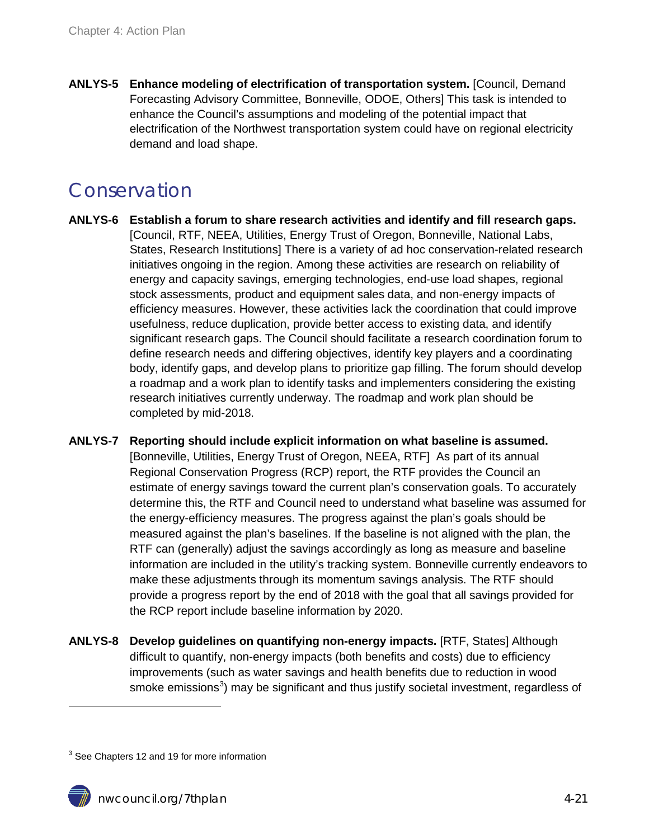**ANLYS-5 Enhance modeling of electrification of transportation system.** [Council, Demand Forecasting Advisory Committee, Bonneville, ODOE, Others] This task is intended to enhance the Council's assumptions and modeling of the potential impact that electrification of the Northwest transportation system could have on regional electricity demand and load shape.

### <span id="page-20-0"></span>Conservation

- **ANLYS-6 Establish a forum to share research activities and identify and fill research gaps.** [Council, RTF, NEEA, Utilities, Energy Trust of Oregon, Bonneville, National Labs, States, Research Institutions] There is a variety of ad hoc conservation-related research initiatives ongoing in the region. Among these activities are research on reliability of energy and capacity savings, emerging technologies, end-use load shapes, regional stock assessments, product and equipment sales data, and non-energy impacts of efficiency measures. However, these activities lack the coordination that could improve usefulness, reduce duplication, provide better access to existing data, and identify significant research gaps. The Council should facilitate a research coordination forum to define research needs and differing objectives, identify key players and a coordinating body, identify gaps, and develop plans to prioritize gap filling. The forum should develop a roadmap and a work plan to identify tasks and implementers considering the existing research initiatives currently underway. The roadmap and work plan should be completed by mid-2018.
- **ANLYS-7 Reporting should include explicit information on what baseline is assumed.**  [Bonneville, Utilities, Energy Trust of Oregon, NEEA, RTF] As part of its annual Regional Conservation Progress (RCP) report, the RTF provides the Council an estimate of energy savings toward the current plan's conservation goals. To accurately determine this, the RTF and Council need to understand what baseline was assumed for the energy-efficiency measures. The progress against the plan's goals should be measured against the plan's baselines. If the baseline is not aligned with the plan, the RTF can (generally) adjust the savings accordingly as long as measure and baseline information are included in the utility's tracking system. Bonneville currently endeavors to make these adjustments through its momentum savings analysis. The RTF should provide a progress report by the end of 2018 with the goal that all savings provided for the RCP report include baseline information by 2020.
- <span id="page-20-2"></span>**ANLYS-8 Develop guidelines on quantifying non-energy impacts.** [RTF, States] Although difficult to quantify, non-energy impacts (both benefits and costs) due to efficiency improvements (such as water savings and health benefits due to reduction in wood smoke emissions<sup>[3](#page-20-1)</sup>) may be significant and thus justify societal investment, regardless of

 $\ddot{\phantom{a}}$ 

<span id="page-20-1"></span> $3$  See Chapters 12 and 19 for more information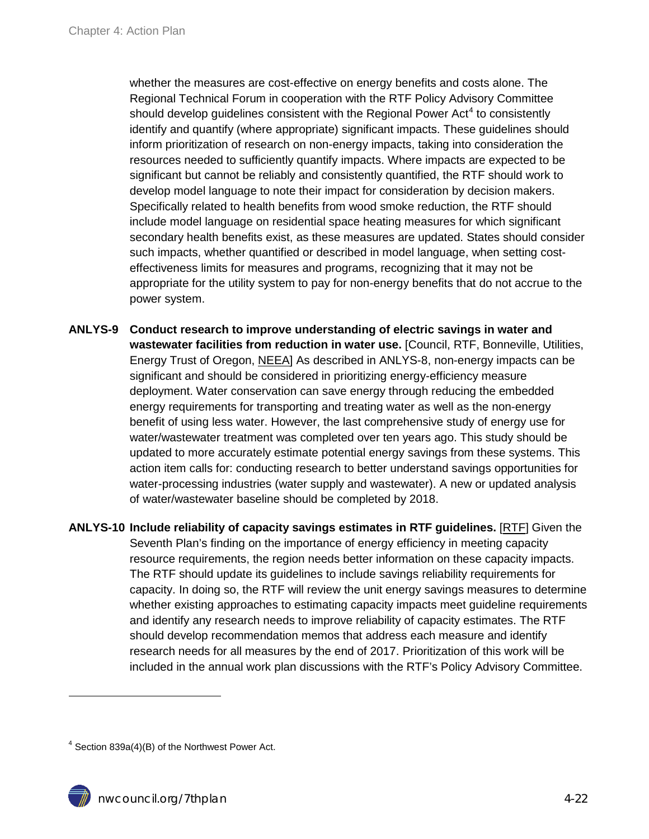whether the measures are cost-effective on energy benefits and costs alone. The Regional Technical Forum in cooperation with the RTF Policy Advisory Committee should develop quidelines consistent with the Regional Power Act<sup>[4](#page-21-1)</sup> to consistently identify and quantify (where appropriate) significant impacts. These guidelines should inform prioritization of research on non-energy impacts, taking into consideration the resources needed to sufficiently quantify impacts. Where impacts are expected to be significant but cannot be reliably and consistently quantified, the RTF should work to develop model language to note their impact for consideration by decision makers. Specifically related to health benefits from wood smoke reduction, the RTF should include model language on residential space heating measures for which significant secondary health benefits exist, as these measures are updated. States should consider such impacts, whether quantified or described in model language, when setting costeffectiveness limits for measures and programs, recognizing that it may not be appropriate for the utility system to pay for non-energy benefits that do not accrue to the power system.

- <span id="page-21-0"></span>**ANLYS-9 Conduct research to improve understanding of electric savings in water and wastewater facilities from reduction in water use.** [Council, RTF, Bonneville, Utilities, Energy Trust of Oregon, NEEA] As described in [ANLYS-8,](#page-20-2) non-energy impacts can be significant and should be considered in prioritizing energy-efficiency measure deployment. Water conservation can save energy through reducing the embedded energy requirements for transporting and treating water as well as the non-energy benefit of using less water. However, the last comprehensive study of energy use for water/wastewater treatment was completed over ten years ago. This study should be updated to more accurately estimate potential energy savings from these systems. This action item calls for: conducting research to better understand savings opportunities for water-processing industries (water supply and wastewater). A new or updated analysis of water/wastewater baseline should be completed by 2018.
- **ANLYS-10 Include reliability of capacity savings estimates in RTF guidelines.** [RTF] Given the Seventh Plan's finding on the importance of energy efficiency in meeting capacity resource requirements, the region needs better information on these capacity impacts. The RTF should update its guidelines to include savings reliability requirements for capacity. In doing so, the RTF will review the unit energy savings measures to determine whether existing approaches to estimating capacity impacts meet guideline requirements and identify any research needs to improve reliability of capacity estimates. The RTF should develop recommendation memos that address each measure and identify research needs for all measures by the end of 2017. Prioritization of this work will be included in the annual work plan discussions with the RTF's Policy Advisory Committee.

 $\ddot{\phantom{a}}$ 

<span id="page-21-1"></span><sup>4</sup> Section 839a(4)(B) of the Northwest Power Act.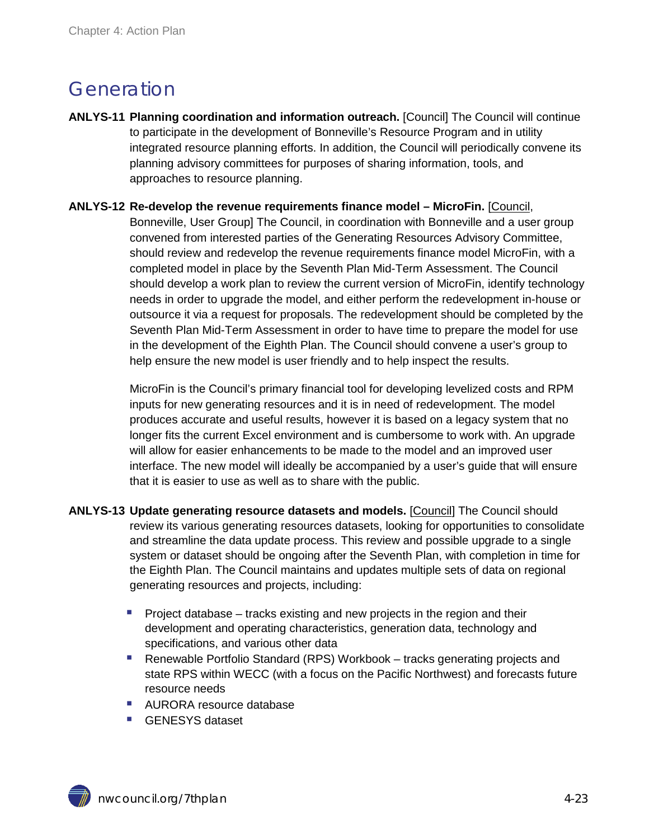### <span id="page-22-0"></span>Generation

- **ANLYS-11 Planning coordination and information outreach.** [Council] The Council will continue to participate in the development of Bonneville's Resource Program and in utility integrated resource planning efforts. In addition, the Council will periodically convene its planning advisory committees for purposes of sharing information, tools, and approaches to resource planning.
- **ANLYS-12 Re-develop the revenue requirements finance model – MicroFin.** [Council, Bonneville, User Group] The Council, in coordination with Bonneville and a user group convened from interested parties of the Generating Resources Advisory Committee, should review and redevelop the revenue requirements finance model MicroFin, with a completed model in place by the Seventh Plan Mid-Term Assessment. The Council should develop a work plan to review the current version of MicroFin, identify technology needs in order to upgrade the model, and either perform the redevelopment in-house or outsource it via a request for proposals. The redevelopment should be completed by the Seventh Plan Mid-Term Assessment in order to have time to prepare the model for use in the development of the Eighth Plan. The Council should convene a user's group to

help ensure the new model is user friendly and to help inspect the results.

MicroFin is the Council's primary financial tool for developing levelized costs and RPM inputs for new generating resources and it is in need of redevelopment. The model produces accurate and useful results, however it is based on a legacy system that no longer fits the current Excel environment and is cumbersome to work with. An upgrade will allow for easier enhancements to be made to the model and an improved user interface. The new model will ideally be accompanied by a user's guide that will ensure that it is easier to use as well as to share with the public.

- **ANLYS-13 Update generating resource datasets and models.** [Council] The Council should review its various generating resources datasets, looking for opportunities to consolidate and streamline the data update process. This review and possible upgrade to a single system or dataset should be ongoing after the Seventh Plan, with completion in time for the Eighth Plan. The Council maintains and updates multiple sets of data on regional generating resources and projects, including:
	- Project database tracks existing and new projects in the region and their development and operating characteristics, generation data, technology and specifications, and various other data
	- Renewable Portfolio Standard (RPS) Workbook tracks generating projects and state RPS within WECC (with a focus on the Pacific Northwest) and forecasts future resource needs
	- AURORA resource database
	- GENESYS dataset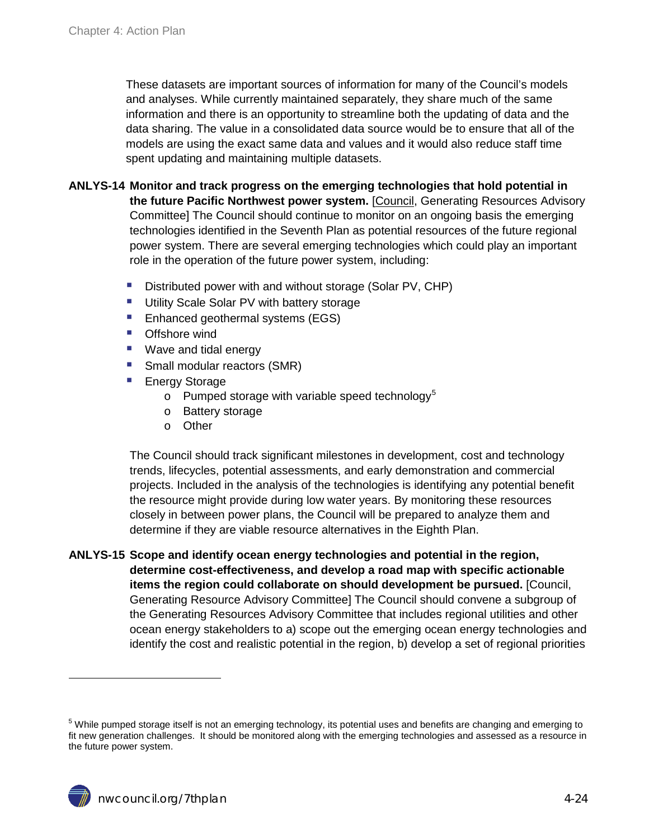These datasets are important sources of information for many of the Council's models and analyses. While currently maintained separately, they share much of the same information and there is an opportunity to streamline both the updating of data and the data sharing. The value in a consolidated data source would be to ensure that all of the models are using the exact same data and values and it would also reduce staff time spent updating and maintaining multiple datasets.

#### **ANLYS-14 Monitor and track progress on the emerging technologies that hold potential in**

**the future Pacific Northwest power system.** [Council, Generating Resources Advisory Committee] The Council should continue to monitor on an ongoing basis the emerging technologies identified in the Seventh Plan as potential resources of the future regional power system. There are several emerging technologies which could play an important role in the operation of the future power system, including:

- Distributed power with and without storage (Solar PV, CHP)
- **Utility Scale Solar PV with battery storage**
- **Enhanced geothermal systems (EGS)**
- **D** Offshore wind
- Wave and tidal energy
- Small modular reactors (SMR)
- Energy Storage
	- $\circ$  Pumped storage with variable speed technology<sup>[5](#page-23-0)</sup>
	- o Battery storage
	- o Other

The Council should track significant milestones in development, cost and technology trends, lifecycles, potential assessments, and early demonstration and commercial projects. Included in the analysis of the technologies is identifying any potential benefit the resource might provide during low water years. By monitoring these resources closely in between power plans, the Council will be prepared to analyze them and determine if they are viable resource alternatives in the Eighth Plan.

**ANLYS-15 Scope and identify ocean energy technologies and potential in the region, determine cost-effectiveness, and develop a road map with specific actionable items the region could collaborate on should development be pursued.** [Council, Generating Resource Advisory Committee] The Council should convene a subgroup of the Generating Resources Advisory Committee that includes regional utilities and other ocean energy stakeholders to a) scope out the emerging ocean energy technologies and identify the cost and realistic potential in the region, b) develop a set of regional priorities

 $\overline{a}$ 

<span id="page-23-0"></span> $5$  While pumped storage itself is not an emerging technology, its potential uses and benefits are changing and emerging to fit new generation challenges. It should be monitored along with the emerging technologies and assessed as a resource in the future power system.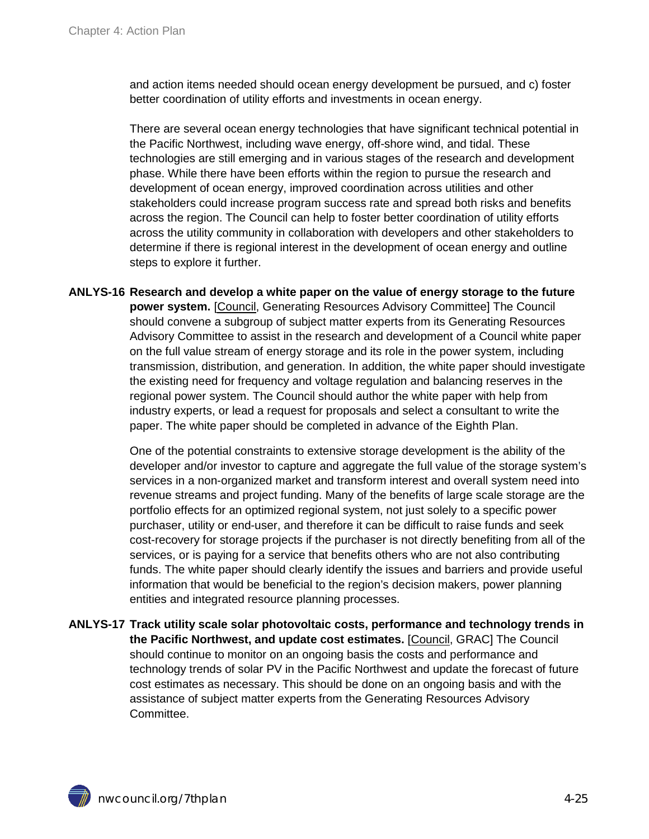and action items needed should ocean energy development be pursued, and c) foster better coordination of utility efforts and investments in ocean energy.

There are several ocean energy technologies that have significant technical potential in the Pacific Northwest, including wave energy, off-shore wind, and tidal. These technologies are still emerging and in various stages of the research and development phase. While there have been efforts within the region to pursue the research and development of ocean energy, improved coordination across utilities and other stakeholders could increase program success rate and spread both risks and benefits across the region. The Council can help to foster better coordination of utility efforts across the utility community in collaboration with developers and other stakeholders to determine if there is regional interest in the development of ocean energy and outline steps to explore it further.

**ANLYS-16 Research and develop a white paper on the value of energy storage to the future power system.** [Council, Generating Resources Advisory Committee] The Council should convene a subgroup of subject matter experts from its Generating Resources Advisory Committee to assist in the research and development of a Council white paper on the full value stream of energy storage and its role in the power system, including transmission, distribution, and generation. In addition, the white paper should investigate the existing need for frequency and voltage regulation and balancing reserves in the regional power system. The Council should author the white paper with help from industry experts, or lead a request for proposals and select a consultant to write the paper. The white paper should be completed in advance of the Eighth Plan.

> One of the potential constraints to extensive storage development is the ability of the developer and/or investor to capture and aggregate the full value of the storage system's services in a non-organized market and transform interest and overall system need into revenue streams and project funding. Many of the benefits of large scale storage are the portfolio effects for an optimized regional system, not just solely to a specific power purchaser, utility or end-user, and therefore it can be difficult to raise funds and seek cost-recovery for storage projects if the purchaser is not directly benefiting from all of the services, or is paying for a service that benefits others who are not also contributing funds. The white paper should clearly identify the issues and barriers and provide useful information that would be beneficial to the region's decision makers, power planning entities and integrated resource planning processes.

**ANLYS-17 Track utility scale solar photovoltaic costs, performance and technology trends in the Pacific Northwest, and update cost estimates.** [Council, GRAC] The Council should continue to monitor on an ongoing basis the costs and performance and technology trends of solar PV in the Pacific Northwest and update the forecast of future cost estimates as necessary. This should be done on an ongoing basis and with the assistance of subject matter experts from the Generating Resources Advisory Committee.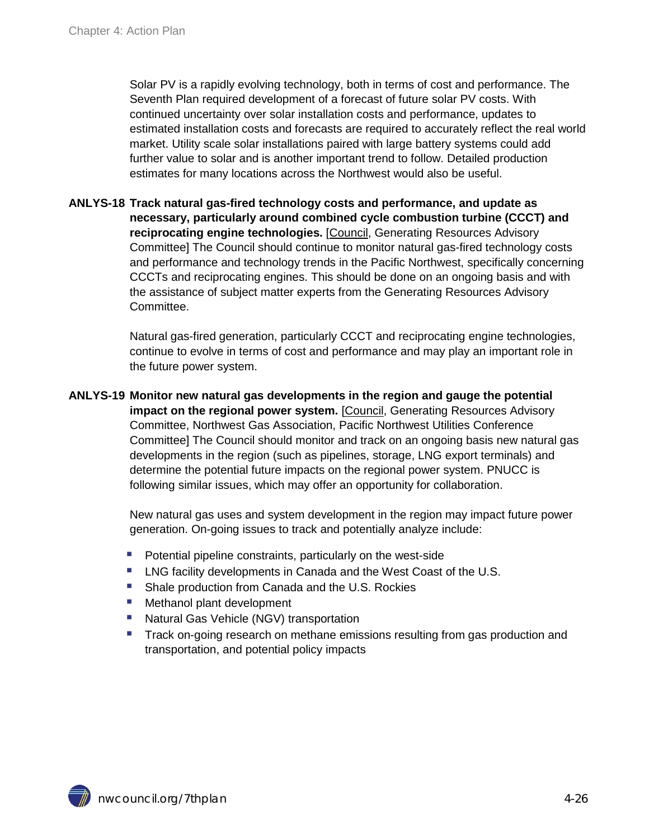Solar PV is a rapidly evolving technology, both in terms of cost and performance. The Seventh Plan required development of a forecast of future solar PV costs. With continued uncertainty over solar installation costs and performance, updates to estimated installation costs and forecasts are required to accurately reflect the real world market. Utility scale solar installations paired with large battery systems could add further value to solar and is another important trend to follow. Detailed production estimates for many locations across the Northwest would also be useful.

**ANLYS-18 Track natural gas-fired technology costs and performance, and update as necessary, particularly around combined cycle combustion turbine (CCCT) and reciprocating engine technologies.** [Council, Generating Resources Advisory Committee] The Council should continue to monitor natural gas-fired technology costs and performance and technology trends in the Pacific Northwest, specifically concerning CCCTs and reciprocating engines. This should be done on an ongoing basis and with the assistance of subject matter experts from the Generating Resources Advisory Committee.

> Natural gas-fired generation, particularly CCCT and reciprocating engine technologies, continue to evolve in terms of cost and performance and may play an important role in the future power system.

**ANLYS-19 Monitor new natural gas developments in the region and gauge the potential impact on the regional power system.** [Council, Generating Resources Advisory Committee, Northwest Gas Association, Pacific Northwest Utilities Conference Committee] The Council should monitor and track on an ongoing basis new natural gas developments in the region (such as pipelines, storage, LNG export terminals) and determine the potential future impacts on the regional power system. PNUCC is following similar issues, which may offer an opportunity for collaboration.

> New natural gas uses and system development in the region may impact future power generation. On-going issues to track and potentially analyze include:

- **Potential pipeline constraints, particularly on the west-side**
- **EXECTE 2018 LNG facility developments in Canada and the West Coast of the U.S.**
- Shale production from Canada and the U.S. Rockies
- **Methanol plant development**
- Natural Gas Vehicle (NGV) transportation
- **Track on-going research on methane emissions resulting from gas production and** transportation, and potential policy impacts

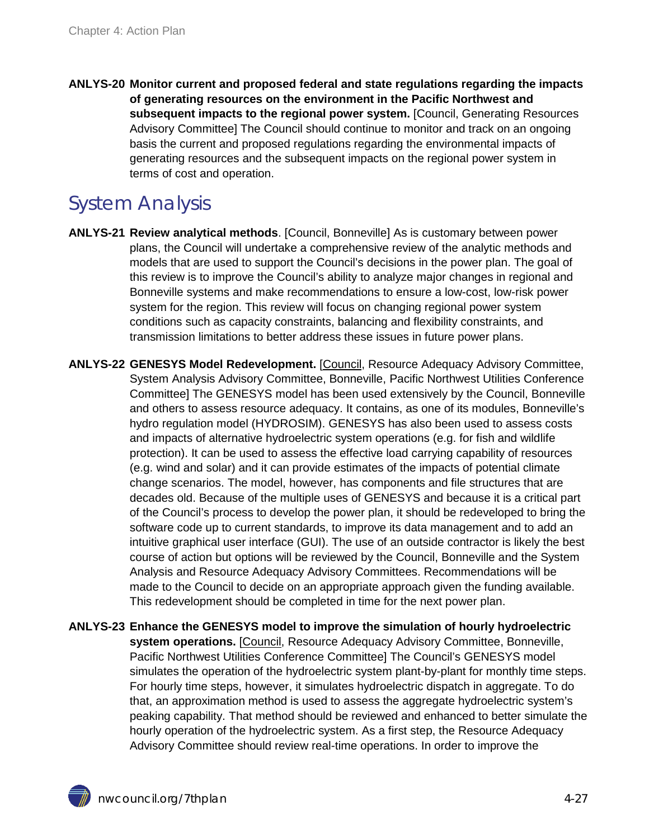**ANLYS-20 Monitor current and proposed federal and state regulations regarding the impacts of generating resources on the environment in the Pacific Northwest and subsequent impacts to the regional power system.** [Council, Generating Resources Advisory Committee] The Council should continue to monitor and track on an ongoing basis the current and proposed regulations regarding the environmental impacts of generating resources and the subsequent impacts on the regional power system in terms of cost and operation.

### <span id="page-26-0"></span>System Analysis

- **ANLYS-21 Review analytical methods**. [Council, Bonneville] As is customary between power plans, the Council will undertake a comprehensive review of the analytic methods and models that are used to support the Council's decisions in the power plan. The goal of this review is to improve the Council's ability to analyze major changes in regional and Bonneville systems and make recommendations to ensure a low-cost, low-risk power system for the region. This review will focus on changing regional power system conditions such as capacity constraints, balancing and flexibility constraints, and transmission limitations to better address these issues in future power plans.
- **ANLYS-22 GENESYS Model Redevelopment.** [Council, Resource Adequacy Advisory Committee, System Analysis Advisory Committee, Bonneville, Pacific Northwest Utilities Conference Committee] The GENESYS model has been used extensively by the Council, Bonneville and others to assess resource adequacy. It contains, as one of its modules, Bonneville's hydro regulation model (HYDROSIM). GENESYS has also been used to assess costs and impacts of alternative hydroelectric system operations (e.g. for fish and wildlife protection). It can be used to assess the effective load carrying capability of resources (e.g. wind and solar) and it can provide estimates of the impacts of potential climate change scenarios. The model, however, has components and file structures that are decades old. Because of the multiple uses of GENESYS and because it is a critical part of the Council's process to develop the power plan, it should be redeveloped to bring the software code up to current standards, to improve its data management and to add an intuitive graphical user interface (GUI). The use of an outside contractor is likely the best course of action but options will be reviewed by the Council, Bonneville and the System Analysis and Resource Adequacy Advisory Committees. Recommendations will be made to the Council to decide on an appropriate approach given the funding available. This redevelopment should be completed in time for the next power plan.
- **ANLYS-23 Enhance the GENESYS model to improve the simulation of hourly hydroelectric system operations.** [Council, Resource Adequacy Advisory Committee, Bonneville, Pacific Northwest Utilities Conference Committee] The Council's GENESYS model simulates the operation of the hydroelectric system plant-by-plant for monthly time steps. For hourly time steps, however, it simulates hydroelectric dispatch in aggregate. To do that, an approximation method is used to assess the aggregate hydroelectric system's peaking capability. That method should be reviewed and enhanced to better simulate the hourly operation of the hydroelectric system. As a first step, the Resource Adequacy Advisory Committee should review real-time operations. In order to improve the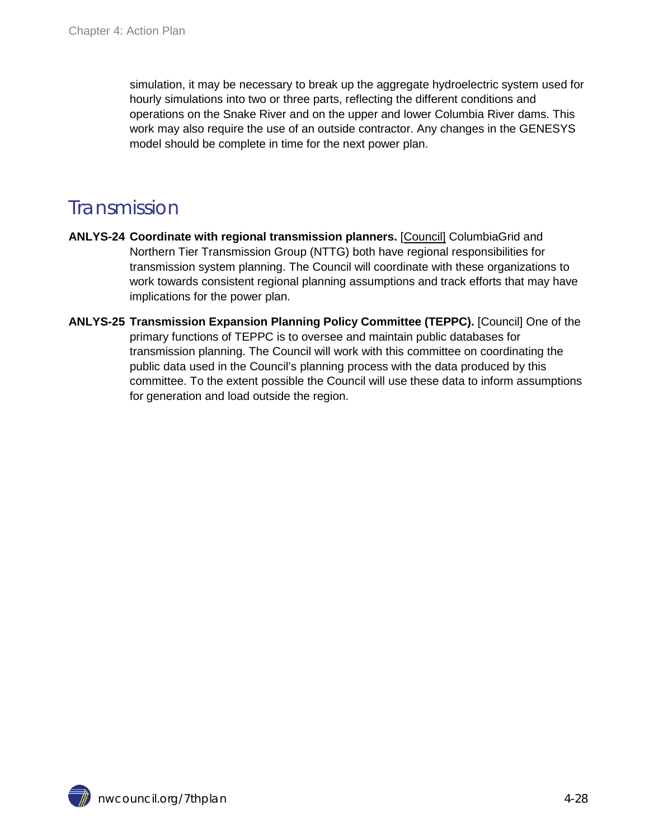simulation, it may be necessary to break up the aggregate hydroelectric system used for hourly simulations into two or three parts, reflecting the different conditions and operations on the Snake River and on the upper and lower Columbia River dams. This work may also require the use of an outside contractor. Any changes in the GENESYS model should be complete in time for the next power plan.

#### <span id="page-27-0"></span>Transmission

- **ANLYS-24 Coordinate with regional transmission planners.** [Council] ColumbiaGrid and Northern Tier Transmission Group (NTTG) both have regional responsibilities for transmission system planning. The Council will coordinate with these organizations to work towards consistent regional planning assumptions and track efforts that may have implications for the power plan.
- **ANLYS-25 Transmission Expansion Planning Policy Committee (TEPPC).** [Council] One of the primary functions of TEPPC is to oversee and maintain public databases for transmission planning. The Council will work with this committee on coordinating the public data used in the Council's planning process with the data produced by this committee. To the extent possible the Council will use these data to inform assumptions for generation and load outside the region.

nwcouncil.org/7thplan 4-28